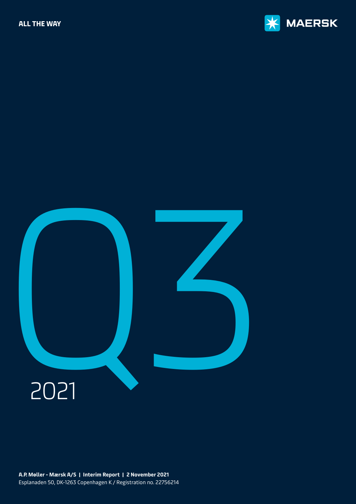



**A.P. Møller - Mærsk A/S | Interim Report | 2 November 2021** Esplanaden 50, DK-1263 Copenhagen K / Registration no. 22756214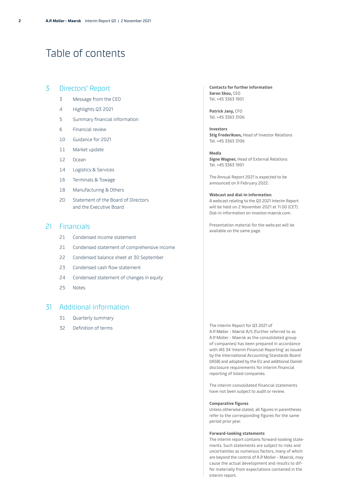# <span id="page-1-0"></span>Table of contents

### 3 [Directors' Report](#page-2-0)

- 3 [Message from the CEO](#page-2-0)
- 4 [Highlights Q3 2021](#page-3-0)
- 5 [Summary financial information](#page-4-0)
- 6 [Financial review](#page-5-0)
- 10 [Guidance for 2021](#page-9-0)
- 11 [Market update](#page-10-0)
- 12 [Ocean](#page-11-0)
- 14 [Logistics & Services](#page-13-0)
- 16 [Terminals & Towage](#page-15-0)
- 18 [Manufacturing & Others](#page-17-0)
- [20 Statement of the Board of Directors](#page-19-0)  [and the Executive Board](#page-19-0)

### 21 [Financials](#page-20-0)

- 21 [Condensed income statement](#page-20-0)
- [21 Condensed statement of comprehensive income](#page-20-0)
- 22 [Condensed balance sheet at 30 September](#page-21-0)
- 23 [Condensed cash flow statement](#page-22-0)
- 24 [Condensed statement of changes in equity](#page-23-0)
- 25 [Notes](#page-24-0)

### 31 [Additional information](#page-30-0)

- 31 [Quarterly summary](#page-30-0)
- 32 [Definition of terms](#page-31-0)

**Contacts for further information Søren Skou,** CEO Tel. +45 3363 1901

**Patrick Jany,** CFO Tel. +45 3363 3106

**Investors Stig Frederiksen,** Head of Investor Relations Tel. +45 3363 3106

**Media Signe Wagner,** Head of External Relations Tel. +45 3363 1901

The Annual Report 2021 is expected to be announced on 9 February 2022.

#### **Webcast and dial-in information**

A webcast relating to the Q3 2021 Interim Report will be held on 2 November 2021 at 11.00 (CET). Dial-in information on [investor.maersk.com.](http://investor.maersk.com)

Presentation material for the webcast will be available on the same page.

The Interim Report for Q3 2021 of A.P. Møller - Mærsk A/S (further referred to as A.P. Moller - Maersk as the consolidated group of companies) has been prepared in accordance with IAS 34 'Interim Financial Reporting' as issued by the International Accounting Standards Board (IASB) and adopted by the EU and additional Danish disclosure requirements for interim financial reporting of listed companies.

The interim consolidated financial statements have not been subject to audit or review.

#### **Comparative figures**

Unless otherwise stated, all figures in parentheses refer to the corresponding figures for the same period prior year.

#### **Forward-looking statements**

The interim report contains forward-looking statements. Such statements are subject to risks and uncertainties as numerous factors, many of which are beyond the control of A.P. Moller - Maersk, may cause the actual development and results to differ materially from expectations contained in the interim report.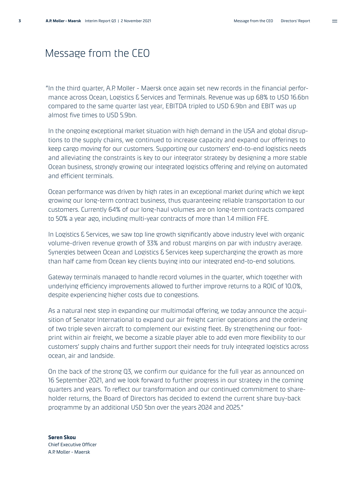# <span id="page-2-0"></span>Message from the CEO

" In the third quarter, A.P. Moller - Maersk once again set new records in the financial performance across Ocean, Logistics & Services and Terminals. Revenue was up 68% to USD 16.6bn compared to the same quarter last year, EBITDA tripled to USD 6.9bn and EBIT was up almost five times to USD 5.9bn.

In the ongoing exceptional market situation with high demand in the USA and global disruptions to the supply chains, we continued to increase capacity and expand our offerings to keep cargo moving for our customers. Supporting our customers' end-to-end logistics needs and alleviating the constraints is key to our integrator strategy by designing a more stable Ocean business, strongly growing our integrated logistics offering and relying on automated and efficient terminals.

Ocean performance was driven by high rates in an exceptional market during which we kept growing our long-term contract business, thus guaranteeing reliable transportation to our customers. Currently 64% of our long-haul volumes are on long-term contracts compared to 50% a year ago, including multi-year contracts of more than 1.4 million FFE.

In Logistics & Services, we saw top line growth significantly above industry level with organic volume-driven revenue growth of 33% and robust margins on par with industry average. Synergies between Ocean and Logistics & Services keep supercharging the growth as more than half came from Ocean key clients buying into our integrated end-to-end solutions.

Gateway terminals managed to handle record volumes in the quarter, which together with underlying efficiency improvements allowed to further improve returns to a ROIC of 10.0%, despite experiencing higher costs due to congestions.

As a natural next step in expanding our multimodal offering, we today announce the acquisition of Senator International to expand our air freight carrier operations and the ordering of two triple seven aircraft to complement our existing fleet. By strengthening our footprint within air freight, we become a sizable player able to add even more flexibility to our customers' supply chains and further support their needs for truly integrated logistics across ocean, air and landside.

On the back of the strong Q3, we confirm our guidance for the full year as announced on 16 September 2021, and we look forward to further progress in our strategy in the coming quarters and years. To reflect our transformation and our continued commitment to shareholder returns, the Board of Directors has decided to extend the current share buy-back programme by an additional USD 5bn over the years 2024 and 2025."

**Søren Skou** Chief Executive Officer A.P. Moller - Maersk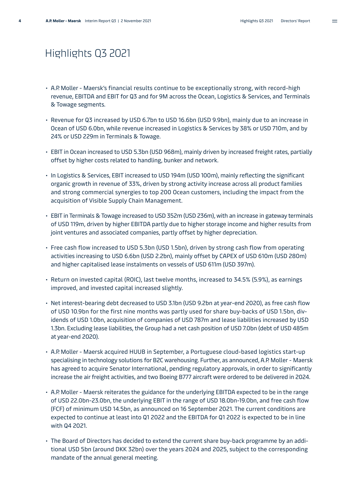# <span id="page-3-0"></span>Highlights Q3 2021

- A.P. Moller Maersk's financial results continue to be exceptionally strong, with record-high revenue, EBITDA and EBIT for Q3 and for 9M across the Ocean, Logistics & Services, and Terminals & Towage segments.
- Revenue for Q3 increased by USD 6.7bn to USD 16.6bn (USD 9.9bn), mainly due to an increase in Ocean of USD 6.0bn, while revenue increased in Logistics & Services by 38% or USD 710m, and by 24% or USD 229m in Terminals & Towage.
- EBIT in Ocean increased to USD 5.3bn (USD 968m), mainly driven by increased freight rates, partially offset by higher costs related to handling, bunker and network.
- In Logistics & Services, EBIT increased to USD 194m (USD 100m), mainly reflecting the significant organic growth in revenue of 33%, driven by strong activity increase across all product families and strong commercial synergies to top 200 Ocean customers, including the impact from the acquisition of Visible Supply Chain Management.
- EBIT in Terminals & Towage increased to USD 352m (USD 236m), with an increase in gateway terminals of USD 119m, driven by higher EBITDA partly due to higher storage income and higher results from joint ventures and associated companies, partly offset by higher depreciation.
- Free cash flow increased to USD 5.3bn (USD 1.5bn), driven by strong cash flow from operating activities increasing to USD 6.6bn (USD 2.2bn), mainly offset by CAPEX of USD 610m (USD 280m) and higher capitalised lease instalments on vessels of USD 611m (USD 397m).
- Return on invested capital (ROIC), last twelve months, increased to 34.5% (5.9%), as earnings improved, and invested capital increased slightly.
- Net interest-bearing debt decreased to USD 3.1bn (USD 9.2bn at year-end 2020), as free cash flow of USD 10.9bn for the first nine months was partly used for share buy-backs of USD 1.5bn, dividends of USD 1.0bn, acquisition of companies of USD 787m and lease liabilities increased by USD 1.3bn. Excluding lease liabilities, the Group had a net cash position of USD 7.0bn (debt of USD 485m at year-end 2020).
- A.P. Moller Maersk acquired HUUB in September, a Portuguese cloud-based logistics start-up specialising in technology solutions for B2C warehousing. Further, as announced, A.P. Moller - Maersk has agreed to acquire Senator International, pending regulatory approvals, in order to significantly increase the air freight activities, and two Boeing B777 aircraft were ordered to be delivered in 2024.
- A.P. Moller Maersk reiterates the guidance for the underlying EBITDA expected to be in the range of USD 22.0bn-23.0bn, the underlying EBIT in the range of USD 18.0bn-19.0bn, and free cash flow (FCF) of minimum USD 14.5bn, as announced on 16 September 2021. The current conditions are expected to continue at least into Q1 2022 and the EBITDA for Q1 2022 is expected to be in line with Q4 2021.
- The Board of Directors has decided to extend the current share buy-back programme by an additional USD 5bn (around DKK 32bn) over the years 2024 and 2025, subject to the corresponding mandate of the annual general meeting.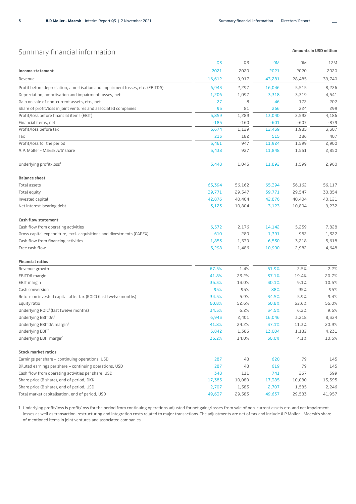$\equiv$ 

### <span id="page-4-0"></span>Summary financial information

**Amounts in USD million** 

|                                                                               | Q3       | Q3       | <b>9M</b> | 9M       | 12M      |
|-------------------------------------------------------------------------------|----------|----------|-----------|----------|----------|
| Income statement                                                              | 2021     | 2020     | 2021      | 2020     | 2020     |
| Revenue                                                                       | 16,612   | 9,917    | 43,281    | 28,485   | 39,740   |
| Profit before depreciation, amortisation and impairment losses, etc. (EBITDA) | 6,943    | 2,297    | 16,046    | 5,515    | 8,226    |
| Depreciation, amortisation and impairment losses, net                         | 1,206    | 1,097    | 3,318     | 3,319    | 4,541    |
| Gain on sale of non-current assets, etc., net                                 | 27       | 8        | 46        | 172      | 202      |
| Share of profit/loss in joint ventures and associated companies               | 95       | 81       | 266       | 224      | 299      |
| Profit/loss before financial items (EBIT)                                     | 5,859    | 1,289    | 13,040    | 2,592    | 4,186    |
| Financial items, net                                                          | $-185$   | $-160$   | $-601$    | $-607$   | $-879$   |
| Profit/loss before tax                                                        | 5,674    | 1,129    | 12,439    | 1,985    | 3,307    |
| Tax                                                                           | 213      | 182      | 515       | 386      | 407      |
| Profit/loss for the period                                                    | 5,461    | 947      | 11,924    | 1,599    | 2,900    |
| A.P. Møller - Mærsk A/S' share                                                | 5,438    | 927      | 11,848    | 1,551    | 2,850    |
| Underlying profit/loss <sup>1</sup>                                           | 5,448    | 1,043    | 11,892    | 1,599    | 2,960    |
| <b>Balance sheet</b>                                                          |          |          |           |          |          |
| Total assets                                                                  | 65,394   | 56,162   | 65,394    | 56,162   | 56,117   |
| Total equity                                                                  | 39,771   | 29,547   | 39,771    | 29,547   | 30,854   |
| Invested capital                                                              | 42,876   | 40,404   | 42,876    | 40,404   | 40,121   |
| Net interest-bearing debt                                                     | 3,123    | 10,804   | 3,123     | 10,804   | 9,232    |
| <b>Cash flow statement</b>                                                    |          |          |           |          |          |
| Cash flow from operating activities                                           | 6,572    | 2,176    | 14,142    | 5,259    | 7,828    |
| Gross capital expenditure, excl. acquisitions and divestments (CAPEX)         | 610      | 280      | 1,391     | 952      | 1,322    |
| Cash flow from financing activities                                           | $-1,853$ | $-1,539$ | $-6,530$  | $-3,218$ | $-5,618$ |
| Free cash flow                                                                | 5,298    | 1,486    | 10,900    | 2,982    | 4,648    |
| <b>Financial ratios</b>                                                       |          |          |           |          |          |
| Revenue growth                                                                | 67.5%    | $-1.4%$  | 51.9%     | $-2.5%$  | 2.2%     |
| EBITDA margin                                                                 | 41.8%    | 23.2%    | 37.1%     | 19.4%    | 20.7%    |
| EBIT margin                                                                   | 35.3%    | 13.0%    | 30.1%     | 9.1%     | 10.5%    |
| Cash conversion                                                               | 95%      | 95%      | 88%       | 95%      | 95%      |
| Return on invested capital after tax (ROIC) (last twelve months)              | 34.5%    | 5.9%     | 34.5%     | 5.9%     | 9.4%     |
| Equity ratio                                                                  | 60.8%    | 52.6%    | 60.8%     | 52.6%    | 55.0%    |
| Underlying ROIC <sup>1</sup> (last twelve months)                             | 34.5%    | 6.2%     | 34.5%     | 6.2%     | 9.6%     |
| Underlying EBITDA <sup>1</sup>                                                | 6,943    | 2,401    | 16,046    | 3,218    | 8,324    |
| Underlying EBITDA margin <sup>1</sup>                                         | 41.8%    | 24.2%    | 37.1%     | 11.3%    | 20.9%    |
| Underlying EBIT <sup>1</sup>                                                  | 5,842    | 1,386    | 13,004    | 1,182    | 4,231    |
| Underlying EBIT margin <sup>1</sup>                                           | 35.2%    | 14.0%    | 30.0%     | 4.1%     | 10.6%    |
| <b>Stock market ratios</b>                                                    |          |          |           |          |          |
| Earnings per share - continuing operations, USD                               | 287      | 48       | 620       | 79       | 145      |
| Diluted earnings per share - continuing operations, USD                       | 287      | 48       | 619       | 79       | 145      |
| Cash flow from operating activities per share, USD                            | 348      | $111$    | 741       | 267      | 399      |
| Share price (B share), end of period, DKK                                     | 17,385   | 10,080   | 17,385    | 10,080   | 13,595   |
| Share price (B share), end of period, USD                                     | 2,707    | 1,585    | 2,707     | 1,585    | 2,246    |
| Total market capitalisation, end of period, USD                               | 49,637   | 29,583   | 49,637    | 29,583   | 41,957   |

1 Underlying profit/loss is profit/loss for the period from continuing operations adjusted for net gains/losses from sale of non-current assets etc. and net impairment losses as well as transaction, restructuring and integration costs related to major transactions. The adjustments are net of tax and include A.P. Moller - Maersk's share of mentioned items in joint ventures and associated companies.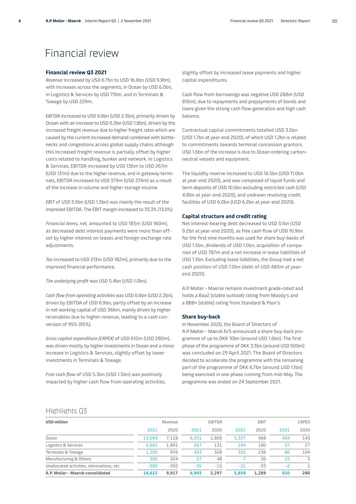# <span id="page-5-0"></span>Financial review

#### **Financial review Q3 2021**

*Revenue* increased by USD 6.7bn to USD 16.6bn (USD 9.9bn), with increases across the segments, in Ocean by USD 6.0bn, in Logistics & Services by USD 710m, and in Terminals & Towage by USD 229m.

*EBITDA* increased to USD 6.9bn (USD 2.3bn), primarily driven by Ocean with an increase to USD 6.3bn (USD 1.8bn), driven by the increased freight revenue due to higher freight rates which are caused by the current increased demand combined with bottlenecks and congestions across global supply chains although this increased freight revenue is partially offset by higher costs related to handling, bunker and network. In Logistics & Services, EBITDA increased by USD 136m to USD 267m (USD 131m) due to the higher revenue, and in gateway terminals, EBITDA increased to USD 379m (USD 274m) as a result of the increase in volume and higher storage income.

*EBIT* of USD 5.9bn (USD 1.3bn) was mainly the result of the improved EBITDA. The EBIT margin increased to 35.3% (13.0%).

*Financial items, net,* amounted to USD 185m (USD 160m), as decreased debt interest payments were more than offset by higher interest on leases and foreign exchange rate adjustments.

*Tax* increased to USD 213m (USD 182m), primarily due to the improved financial performance.

*The underlying profit* was USD 5.4bn (USD 1.0bn).

*Cash flow from operating activities* was USD 6.6bn (USD 2.2bn), driven by EBITDA of USD 6.9bn, partly offset by an increase in net working capital of USD 366m, mainly driven by higher receivables due to higher revenue, leading to a cash conversion of 95% (95%).

*Gross capital expenditure (CAPEX)* of USD 610m (USD 280m), was driven mostly by higher investments in Ocean and a minor increase in Logistics & Services, slightly offset by lower investments in Terminals & Towage.

*Free cash flow* of USD 5.3bn (USD 1.5bn) was positively impacted by higher cash flow from operating activities, slightly offset by increased lease payments and higher capital expenditures.

Cash flow from borrowings was negative USD 288m (USD 810m), due to repayments and prepayments of bonds and loans given the strong cash flow generation and high cash balance.

Contractual capital commitments totalled USD 3.5bn (USD 1.7bn at year-end 2020), of which USD 1.2bn is related to commitments towards terminal concession grantors. USD 1.6bn of the increase is due to Ocean ordering carbonneutral vessels and equipment.

The liquidity reserve increased to USD 16.5bn (USD 11.0bn at year-end 2020), and was composed of liquid funds and term deposits of USD 10.5bn excluding restricted cash (USD 4.8bn at year-end 2020), and undrawn revolving credit facilities of USD 6.0bn (USD 6.2bn at year-end 2020).

#### **Capital structure and credit rating**

Net interest-bearing debt decreased to USD 3.1bn (USD 9.2bn at year-end 2020), as free cash flow of USD 10.9bn for the first nine months was used for share buy-backs of USD 1.5bn, dividends of USD 1.0bn, acquisition of companies of USD 787m and a net increase in lease liabilities of USD 1.3bn. Excluding lease liabilities, the Group had a net cash position of USD 7.0bn (debt of USD 485m at yearend 2020).

A.P. Moller - Maersk remains investment grade-rated and holds a Baa2 (stable outlook) rating from Moody's and a BBB+ (stable) rating from Standard & Poor's.

#### **Share buy-back**

In November 2020, the Board of Directors of A.P. Møller - Mærsk A/S announced a share buy-back programme of up to DKK 10bn (around USD 1.6bn). The first phase of the programme of DKK 3.3bn (around USD 500m) was concluded on 29 April 2021. The Board of Directors decided to accelerate the programme with the remaining part of the programme of DKK 6.7bn (around USD 1.1bn) being exercised in one phase running from mid-May. The programme was ended on 24 September 2021.

### Highlights Q3

| <b>USD million</b>                         |        | Revenue |       | EBITDA |       | EBIT  |      | <b>CAPEX</b> |
|--------------------------------------------|--------|---------|-------|--------|-------|-------|------|--------------|
|                                            | 2021   | 2020    | 2021  | 2020   | 2021  | 2020  | 2021 | 2020         |
| Ocean                                      | 13,093 | 7,118   | 6.251 | 1,805  | 5,337 | 968   | 454  | 143          |
| Logistics & Services                       | 2,601  | 1.891   | 267   | 131    | 194   | 100   | 57   | 27           |
| Terminals & Towage                         | 1,205  | 976     | 433   | 328    | 352   | 236   | 86   | 104          |
| Manufacturing & Others                     | 305    | 324     | 27    | 48     |       | 20    | 15   | 5            |
| Unallocated activities, eliminations, etc. | $-592$ | $-392$  | -35   | $-15$  | $-31$ | $-35$ | $-2$ |              |
| A.P. Moller - Maersk consolidated          | 16,612 | 9.917   | 6.943 | 2.297  | 5.859 | 1.289 | 610  | 280          |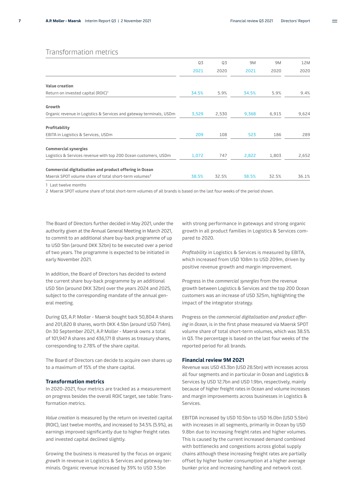### Transformation metrics

|                                                                     | Q3    | Q3    | 9M    | 9M    | 12M   |
|---------------------------------------------------------------------|-------|-------|-------|-------|-------|
|                                                                     | 2021  | 2020  | 2021  | 2020  | 2020  |
| Value creation                                                      |       |       |       |       |       |
| Return on invested capital (ROIC) <sup>1</sup>                      | 34.5% | 5.9%  | 34.5% | 5.9%  | 9.4%  |
| Growth                                                              |       |       |       |       |       |
| Organic revenue in Logistics & Services and gateway terminals, USDm | 3,529 | 2,530 | 9,368 | 6,915 | 9,624 |
| Profitability                                                       |       |       |       |       |       |
| EBITA in Logistics & Services, USDm                                 | 209   | 108   | 523   | 186   | 289   |
| <b>Commercial synergies</b>                                         |       |       |       |       |       |
| Logistics & Services revenue with top 200 Ocean customers, USDm     | 1,072 | 747   | 2,822 | 1,803 | 2,652 |
| Commercial digitalisation and product offering in Ocean             |       |       |       |       |       |
| Maersk SPOT volume share of total short-term volumes <sup>2</sup>   | 38.5% | 32.5% | 38.5% | 32.5% | 36.1% |

1 Last twelve months

2 Maersk SPOT volume share of total short-term volumes of all brands is based on the last four weeks of the period shown.

The Board of Directors further decided in May 2021, under the authority given at the Annual General Meeting in March 2021, to commit to an additional share buy-back programme of up to USD 5bn (around DKK 32bn) to be executed over a period of two years. The programme is expected to be initiated in early November 2021.

In addition, the Board of Directors has decided to extend the current share buy-back programme by an additional USD 5bn (around DKK 32bn) over the years 2024 and 2025, subject to the corresponding mandate of the annual general meeting.

During Q3, A.P. Moller - Maersk bought back 50,804 A shares and 201,820 B shares, worth DKK 4.5bn (around USD 714m). On 30 September 2021, A.P. Moller - Maersk owns a total of 101,947 A shares and 436,171 B shares as treasury shares, corresponding to 2.78% of the share capital.

The Board of Directors can decide to acquire own shares up to a maximum of 15% of the share capital.

#### **Transformation metrics**

In 2020-2021, four metrics are tracked as a measurement on progress besides the overall ROIC target, see table: Transformation metrics.

*Value creation* is measured by the return on invested capital (ROIC), last twelve months, and increased to 34.5% (5.9%), as earnings improved significantly due to higher freight rates and invested capital declined slightly.

Growing the business is measured by the focus on organic *growth* in revenue in Logistics & Services and gateway terminals. Organic revenue increased by 39% to USD 3.5bn

with strong performance in gateways and strong organic growth in all product families in Logistics & Services compared to 2020.

*Profitability* in Logistics & Services is measured by EBITA, which increased from USD 108m to USD 209m, driven by positive revenue growth and margin improvement.

Progress in the *commercial synergies* from the revenue growth between Logistics & Services and the top 200 Ocean customers was an increase of USD 325m, highlighting the impact of the integrator strategy.

Progress on the *commercial digitalisation and product offering* in *Ocean*, is in the first phase measured via Maersk SPOT volume share of total short-term volumes, which was 38.5% in Q3. The percentage is based on the last four weeks of the reported period for all brands.

#### **Financial review 9M 2021**

Revenue was USD 43.3bn (USD 28.5bn) with increases across all four segments and in particular in Ocean and Logistics & Services by USD 12.7bn and USD 1.9bn, respectively, mainly because of higher freight rates in Ocean and volume increases and margin improvements across businesses in Logistics & Services.

EBITDA increased by USD 10.5bn to USD 16.0bn (USD 5.5bn) with increases in all segments, primarily in Ocean by USD 9.8bn due to increasing freight rates and higher volumes. This is caused by the current increased demand combined with bottlenecks and congestions across global supply chains although these increasing freight rates are partially offset by higher bunker consumption at a higher average bunker price and increasing handling and network cost.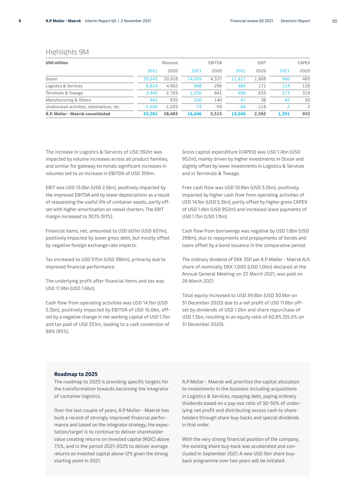#### Highlights 9M

| <b>USD million</b>                         |          | Revenue  |        | EBITDA |        | EBIT   |       | <b>CAPEX</b>             |
|--------------------------------------------|----------|----------|--------|--------|--------|--------|-------|--------------------------|
|                                            | 2021     | 2020     | 2021   | 2020   | 2021   | 2020   | 2021  | 2020                     |
| Ocean                                      | 33.643   | 20.918   | 14.095 | 4.337  | 11.617 | 1.868  | 960   | 485                      |
| Logistics & Services                       | 6,814    | 4.902    | 688    | 296    | 486    | 171    | 114   | 126                      |
| Terminals & Towage                         | 3.442    | 2.765    | 1.236  | 841    | 958    | 633    | 273   | 319                      |
| Manufacturing & Others                     | 991      | 935      | 100    | 140    | 47     | 38     | 42    | 20                       |
| Unallocated activities, eliminations, etc. | $-1.609$ | $-1.035$ | $-73$  | -99    | $-68$  | $-118$ |       | $\overline{\phantom{0}}$ |
| A.P. Moller - Maersk consolidated          | 43.281   | 28,485   | 16.046 | 5.515  | 13.040 | 2.592  | 1,391 | 952                      |

The increase in Logistics & Services of USD 392m was impacted by volume increases across all product families, and similar for gateway terminals significant increases in volumes led to an increase in EBITDA of USD 399m.

EBIT was USD 13.0bn (USD 2.6bn), positively impacted by the improved EBITDA and by lower depreciations as a result of reassessing the useful life of container assets, partly offset with higher amortisation on vessel charters. The EBIT margin increased to 30.1% (9.1%).

Financial items, net, amounted to USD 601m (USD 607m), positively impacted by lower gross debt, but mostly offset by negative foreign exchange rate impacts.

Tax increased to USD 515m (USD 386m), primarily due to improved financial performance.

The underlying profit after financial items and tax was USD 11.9bn (USD 1.6bn).

Cash flow from operating activities was USD 14.1bn (USD 5.3bn), positively impacted by EBITDA of USD 16.0bn, offset by a negative change in net working capital of USD 1.7bn and tax paid of USD 353m, leading to a cash conversion of 88% (95%).

Gross capital expenditure (CAPEX) was USD 1.4bn (USD 952m), mainly driven by higher investments in Ocean and slightly offset by lower investments in Logistics & Services and in Terminals & Towage.

Free cash flow was USD 10.9bn (USD 3.0bn), positively impacted by higher cash flow from operating activities of USD 14.1bn (USD 5.3bn), partly offset by higher gross CAPEX of USD 1.4bn (USD 952m) and increased lease payments of USD 1.7bn (USD 1.1bn).

Cash flow from borrowings was negative by USD 1.8bn (USD 298m), due to repayments and prepayments of bonds and loans offset by a bond issuance in the comparative period.

The ordinary dividend of DKK 330 per A.P. Møller - Mærsk A/S share of nominally DKK 1,000 (USD 1.0bn) declared at the Annual General Meeting on 23 March 2021, was paid on 26 March 2021.

Total equity increased to USD 39.8bn (USD 30.9bn on 31 December 2020) due to a net profit of USD 11.9bn offset by dividends of USD 1.0bn and share repurchase of USD 1.5bn, resulting in an equity ratio of 60.8% (55.0% on 31 December 2020).

#### **Roadmap to 2025**

The roadmap to 2025 is providing specific targets for the transformation towards becoming the integrator of container logistics.

Over the last couple of years, A.P. Moller - Maersk has built a record of strongly improved financial performance and based on the integrator strategy, the expectation/target is to continue to deliver shareholder value creating returns on invested capital (ROIC) above 7.5%, and in the period 2021-2025 to deliver average returns on invested capital above 12% given the strong starting point in 2021.

A.P. Moller - Maersk will prioritise the capital allocation to investments in the business including acquisitions in Logistics & Services, repaying debt, paying ordinary dividends based on a pay-out ratio of 30-50% of underlying net profit and distributing excess cash to shareholders through share buy-backs and special dividends in that order.

With the very strong financial position of the company, the existing share buy-back was accelerated and concluded in September 2021. A new USD 5bn share buyback programme over two years will be initiated.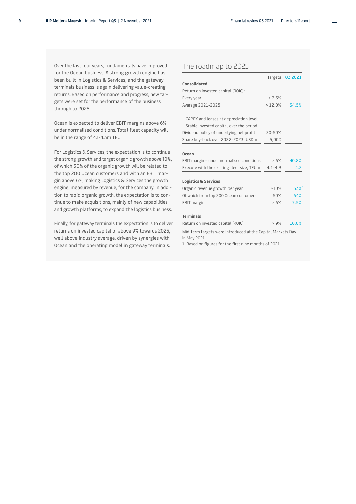$\!\!\!=\!\!\!=$ 

Over the last four years, fundamentals have improved for the Ocean business. A strong growth engine has been built in Logistics & Services, and the gateway terminals business is again delivering value-creating returns. Based on performance and progress, new targets were set for the performance of the business through to 2025.

Ocean is expected to deliver EBIT margins above 6% under normalised conditions. Total fleet capacity will be in the range of 4.1-4.3m TEU.

For Logistics & Services, the expectation is to continue the strong growth and target organic growth above 10%, of which 50% of the organic growth will be related to the top 200 Ocean customers and with an EBIT margin above 6%, making Logistics & Services the growth engine, measured by revenue, for the company. In addition to rapid organic growth, the expectation is to continue to make acquisitions, mainly of new capabilities and growth platforms, to expand the logistics business.

Finally, for gateway terminals the expectation is to deliver returns on invested capital of above 9% towards 2025, well above industry average, driven by synergies with Ocean and the operating model in gateway terminals.

### The roadmap to 2025

|                                                                             |             | Targets Q3 2021    |
|-----------------------------------------------------------------------------|-------------|--------------------|
| Consolidated                                                                |             |                    |
| Return on invested capital (ROIC):                                          |             |                    |
| Every year                                                                  | > 7.5%      |                    |
| Average 2021-2025                                                           | >12.0%      | 34.5%              |
|                                                                             |             |                    |
| - CAPEX and leases at depreciation level                                    |             |                    |
| - Stable invested capital over the period                                   |             |                    |
| Dividend policy of underlying net profit                                    | $30 - 50%$  |                    |
| Share buy-back over 2022-2023, USDm                                         | 5,000       |                    |
|                                                                             |             |                    |
| Ocean                                                                       |             |                    |
| EBIT margin - under normalised conditions                                   | >6%         | 40.8%              |
| Execute with the existing fleet size, TEUm                                  | $4.1 - 4.3$ | 4.2                |
| <b>Logistics &amp; Services</b>                                             |             |                    |
| Organic revenue growth per year                                             | >10%        | 33%1               |
| Of which from top 200 Ocean customers                                       | 50%         | $64%$ <sup>1</sup> |
| <b>EBIT</b> margin                                                          | >6%         | 7.5%               |
| <b>Terminals</b>                                                            |             |                    |
| Return on invested capital (ROIC)                                           | > 9%        | 10.0%              |
| Mid-term targets were introduced at the Capital Markets Day<br>in May 2021. |             |                    |

1 Based on figures for the first nine months of 2021.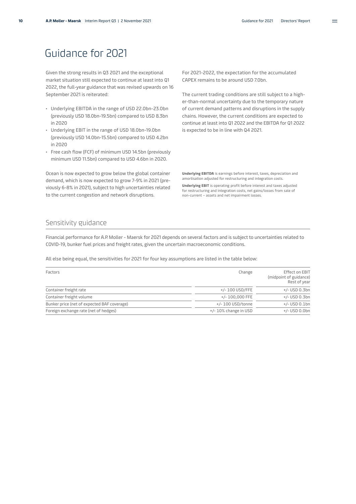# <span id="page-9-0"></span>Guidance for 2021

Given the strong results in Q3 2021 and the exceptional market situation still expected to continue at least into Q1 2022, the full-year guidance that was revised upwards on 16 September 2021 is reiterated:

- Underlying EBITDA in the range of USD 22.0bn-23.0bn (previously USD 18.0bn-19.5bn) compared to USD 8.3bn in 2020
- Underlying EBIT in the range of USD 18.0bn-19.0bn (previously USD 14.0bn-15.5bn) compared to USD 4.2bn in 2020
- Free cash flow (FCF) of minimum USD 14.5bn (previously minimum USD 11.5bn) compared to USD 4.6bn in 2020.

Ocean is now expected to grow below the global container demand, which is now expected to grow 7-9% in 2021 (previously 6-8% in 2021), subject to high uncertainties related to the current congestion and network disruptions.

For 2021-2022, the expectation for the accumulated CAPEX remains to be around USD 7.0bn.

The current trading conditions are still subject to a higher-than-normal uncertainty due to the temporary nature of current demand patterns and disruptions in the supply chains. However, the current conditions are expected to continue at least into Q1 2022 and the EBITDA for Q1 2022 is expected to be in line with Q4 2021.

**Underlying EBITDA** is earnings before interest, taxes, depreciation and amortisation adjusted for restructuring and integration costs.

**Underlying EBIT** is operating profit before interest and taxes adjusted for restructuring and integration costs, net gains/losses from sale of non-current – assets and net impairment losses.

### Sensitivity guidance

Financial performance for A.P. Moller - Maersk for 2021 depends on several factors and is subject to uncertainties related to COVID-19, bunker fuel prices and freight rates, given the uncertain macroeconomic conditions.

All else being equal, the sensitivities for 2021 for four key assumptions are listed in the table below:

| Factors                                     | Change               | Effect on EBIT<br>(midpoint of guidance)<br>Rest of year |
|---------------------------------------------|----------------------|----------------------------------------------------------|
| Container freight rate                      | +/- 100 USD/FFE      | +/- USD 0.3bn                                            |
| Container freight volume                    | +/- 100.000 FFE      | +/- USD 0.3bn                                            |
| Bunker price (net of expected BAF coverage) | +/- 100 USD/tonne    | $+/-$ USD 0.1bn                                          |
| Foreign exchange rate (net of hedges)       | +/-10% change in USD | +/- USD 0.0bn                                            |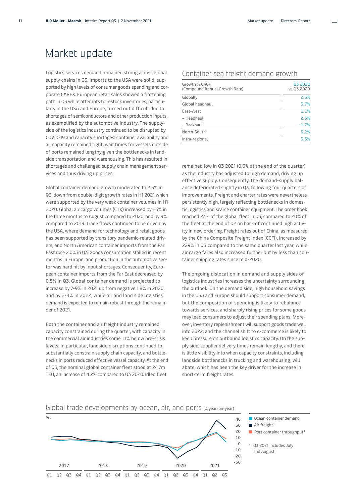# <span id="page-10-0"></span>Market update

Logistics services demand remained strong across global supply chains in Q3. Imports to the USA were solid, supported by high levels of consumer goods spending and corporate CAPEX. European retail sales showed a flattening path in Q3 while attempts to restock inventories, particularly in the USA and Europe, turned out difficult due to shortages of semiconductors and other production inputs, as exemplified by the automotive industry. The supplyside of the logistics industry continued to be disrupted by COVID-19 and capacity shortages: container availability and air capacity remained tight, wait times for vessels outside of ports remained lengthy given the bottlenecks in landside transportation and warehousing. This has resulted in shortages and challenged supply chain management services and thus driving up prices.

Global container demand growth moderated to 2.5% in Q3, down from double-digit growth rates in H1 2021 which were supported by the very weak container volumes in H1 2020. Global air cargo volumes (CTK) increased by 26% in the three months to August compared to 2020, and by 9% compared to 2019. Trade flows continued to be driven by the USA, where demand for technology and retail goods has been supported by transitory pandemic-related drivers, and North American container imports from the Far East rose 2.0% in Q3. Goods consumption stalled in recent months in Europe, and production in the automotive sector was hard hit by input shortages. Consequently, European container imports from the Far East decreased by 0.5% in Q3. Global container demand is projected to increase by 7-9% in 2021 up from negative 1.8% in 2020, and by 2-4% in 2022, while air and land side logistics demand is expected to remain robust through the remainder of 2021.

Both the container and air freight industry remained capacity constrained during the quarter, with capacity in the commercial air industries some 13% below pre-crisis levels. In particular, landside disruptions continued to substantially constrain supply chain capacity, and bottlenecks in ports reduced effective vessel capacity. At the end of Q3, the nominal global container fleet stood at 24.7m TEU, an increase of 4.2% compared to Q3 2020. Idled fleet

#### Growth % CAGR (Compound Annual Growth Rate) Q3 2021 vs Q3 2020 Globally 2.5% Global headhaul 3.7% East-West 1.1% and 1.1% and 1.1% and 1.1% and 1.1% and 1.1% and 1.1% and 1.1% and 1.1% and 1.1% and 1.1% and 1.1% and 1.1% and 1.1% and 1.1% and 1.1% and 1.1% and 1.1% and 1.1% and 1.1% and 1.1% and 1.1% and 1.1% and 1.1% – Headhaul 2.3%  $-$  Backhaul  $-1.7%$

North-South 5.2% Intra-regional 3.3%

Container sea freight demand growth

remained low in Q3 2021 (0.6% at the end of the quarter) as the industry has adjusted to high demand, driving up effective supply. Consequently, the demand-supply balance deteriorated slightly in Q3, following four quarters of improvements. Freight and charter rates were nevertheless persistently high, largely reflecting bottlenecks in domestic logistics and scarce container equipment. The order book reached 23% of the global fleet in Q3, compared to 20% of the fleet at the end of Q2 on back of continued high activity in new ordering. Freight rates out of China, as measured by the China Composite Freight Index (CCFI), increased by 229% in Q3 compared to the same quarter last year, while air cargo fares also increased further but by less than container shipping rates since mid-2020.

The ongoing dislocation in demand and supply sides of logistics industries increases the uncertainty surrounding the outlook. On the demand side, high household savings in the USA and Europe should support consumer demand, but the composition of spending is likely to rebalance towards services, and sharply rising prices for some goods may lead consumers to adjust their spending plans. Moreover, inventory replenishment will support goods trade well into 2022, and the channel shift to e-commerce is likely to keep pressure on outbound logistics capacity. On the supply side, supplier delivery times remain lengthy, and there is little visibility into when capacity constraints, including landside bottlenecks in trucking and warehousing, will abate, which has been the key driver for the increase in short-term freight rates.

#### $Pct$  $40$ 30  $\blacksquare$  Air freight<sup>1</sup> 20  $10$  $\Omega$  $-10$  $-20$  $-30$ 2017 2018 2019 2020 2021  $Q<sub>1</sub>$ 02 03 04 01 Q2 Q3 Q4 Q1 Q2 Q3 Q4 Q1  $Q<sub>2</sub>$ Q3 Q4 Q1 02 03

Global trade developments by ocean, air, and ports (% year-on-year)



- 
- Port container throughput<sup>1</sup>
- 1 Q3 2021 includes July and August.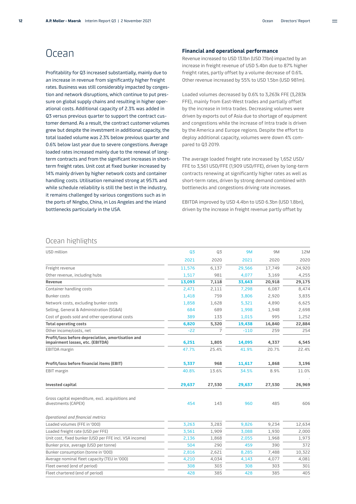# <span id="page-11-0"></span>Ocean

Profitability for Q3 increased substantially, mainly due to an increase in revenue from significantly higher freight rates. Business was still considerably impacted by congestion and network disruptions, which continue to put pressure on global supply chains and resulting in higher operational costs. Additional capacity of 2.3% was added in Q3 versus previous quarter to support the contract customer demand. As a result, the contract customer volumes grew but despite the investment in additional capacity, the total loaded volume was 2.3% below previous quarter and 0.6% below last year due to severe congestions. Average loaded rates increased mainly due to the renewal of longterm contracts and from the significant increases in shortterm freight rates. Unit cost at fixed bunker increased by 14% mainly driven by higher network costs and container handling costs. Utilisation remained strong at 95.1% and while schedule reliability is still the best in the industry, it remains challenged by various congestions such as in the ports of Ningbo, China, in Los Angeles and the inland bottlenecks particularly in the USA.

#### **Financial and operational performance**

Revenue increased to USD 13.1bn (USD 7.1bn) impacted by an increase in freight revenue of USD 5.4bn due to 87% higher freight rates, partly offset by a volume decrease of 0.6%. Other revenue increased by 55% to USD 1.5bn (USD 981m).

Loaded volumes decreased by 0.6% to 3,263k FFE (3,283k FFE), mainly from East-West trades and partially offset by the increase in Intra trades. Decreasing volumes were driven by exports out of Asia due to shortage of equipment and congestions while the increase of Intra trade is driven by the America and Europe regions. Despite the effort to deploy additional capacity, volumes were down 4% compared to Q3 2019.

The average loaded freight rate increased by 1,652 USD/ FFE to 3,561 USD/FFE (1,909 USD/FFE), driven by long-term contracts renewing at significantly higher rates as well as short-term rates, driven by strong demand combined with bottlenecks and congestions driving rate increases.

EBITDA improved by USD 4.4bn to USD 6.3bn (USD 1.8bn), driven by the increase in freight revenue partly offset by

### Ocean highlights

| USD million                                                                           | Q3     | Q3     | <b>9M</b> | 9M     | 12M    |
|---------------------------------------------------------------------------------------|--------|--------|-----------|--------|--------|
|                                                                                       | 2021   | 2020   | 2021      | 2020   | 2020   |
| Freight revenue                                                                       | 11,576 | 6,137  | 29,566    | 17,749 | 24,920 |
| Other revenue, including hubs                                                         | 1,517  | 981    | 4,077     | 3,169  | 4,255  |
| Revenue                                                                               | 13,093 | 7,118  | 33,643    | 20,918 | 29,175 |
| Container handling costs                                                              | 2,471  | 2,111  | 7,298     | 6,087  | 8,474  |
| Bunker costs                                                                          | 1,418  | 759    | 3,806     | 2,920  | 3,835  |
| Network costs, excluding bunker costs                                                 | 1,858  | 1,628  | 5,321     | 4,890  | 6,625  |
| Selling, General & Administration (SG&A)                                              | 684    | 689    | 1,998     | 1,948  | 2,698  |
| Cost of goods sold and other operational costs                                        | 389    | 133    | 1,015     | 995    | 1,252  |
| <b>Total operating costs</b>                                                          | 6,820  | 5,320  | 19,438    | 16,840 | 22,884 |
| Other income/costs, net                                                               | $-22$  | 7      | $-110$    | 259    | 254    |
| Profit/loss before depreciation, amortisation and<br>impairment losses, etc. (EBITDA) | 6,251  | 1,805  | 14,095    | 4,337  | 6,545  |
| <b>EBITDA</b> margin                                                                  | 47.7%  | 25.4%  | 41.9%     | 20.7%  | 22.4%  |
| Profit/loss before financial items (EBIT)                                             | 5,337  | 968    | 11,617    | 1,868  | 3,196  |
| <b>EBIT</b> margin                                                                    | 40.8%  | 13.6%  | 34.5%     | 8.9%   | 11.0%  |
| Invested capital                                                                      | 29,637 | 27,530 | 29,637    | 27,530 | 26,969 |
| Gross capital expenditure, excl. acquisitions and<br>divestments (CAPEX)              | 454    | 143    | 960       | 485    | 606    |
| Operational and financial metrics                                                     |        |        |           |        |        |
| Loaded volumes (FFE in '000)                                                          | 3,263  | 3,283  | 9,826     | 9,234  | 12,634 |
| Loaded freight rate (USD per FFE)                                                     | 3,561  | 1,909  | 3,088     | 1,930  | 2,000  |
| Unit cost, fixed bunker (USD per FFE incl. VSA income)                                | 2,136  | 1,868  | 2,055     | 1,968  | 1,973  |
| Bunker price, average (USD per tonne)                                                 | 504    | 290    | 459       | 390    | 372    |
| Bunker consumption (tonne in '000)                                                    | 2,816  | 2,621  | 8,285     | 7,488  | 10,322 |
| Average nominal fleet capacity (TEU in '000)                                          | 4,210  | 4,034  | 4,143     | 4,077  | 4,081  |
| Fleet owned (end of period)                                                           | 308    | 303    | 308       | 303    | 301    |
| Fleet chartered (end of period)                                                       | 428    | 385    | 428       | 385    | 405    |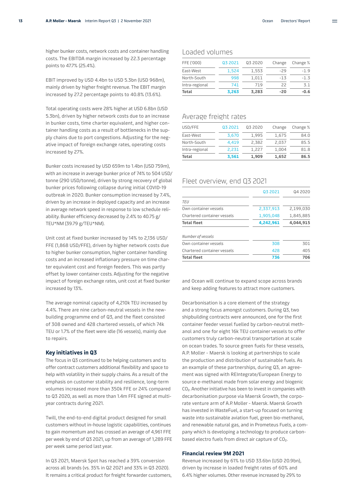higher bunker costs, network costs and container handling costs. The EBITDA margin increased by 22.3 percentage points to 47.7% (25.4%).

EBIT improved by USD 4.4bn to USD 5.3bn (USD 968m), mainly driven by higher freight revenue. The EBIT margin increased by 27.2 percentage points to 40.8% (13.6%).

Total operating costs were 28% higher at USD 6.8bn (USD 5.3bn), driven by higher network costs due to an increase in bunker costs, time charter equivalent, and higher container handling costs as a result of bottlenecks in the supply chains due to port congestions. Adjusting for the negative impact of foreign exchange rates, operating costs increased by 27%.

Bunker costs increased by USD 659m to 1.4bn (USD 759m), with an increase in average bunker price of 74% to 504 USD/ tonne (290 USD/tonne), driven by strong recovery of global bunker prices following collapse during initial COVID-19 outbreak in 2020. Bunker consumption increased by 7.4%, driven by an increase in deployed capacity and an increase in average network speed in response to low schedule reliability. Bunker efficiency decreased by 2.4% to 40.75 g/ TEU\*NM (39.79 g/TEU\*NM).

Unit cost at fixed bunker increased by 14% to 2,136 USD/ FFE (1,868 USD/FFE), driven by higher network costs due to higher bunker consumption, higher container handling costs and an increased inflationary pressure on time charter equivalent cost and foreign feeders. This was partly offset by lower container costs. Adjusting for the negative impact of foreign exchange rates, unit cost at fixed bunker increased by 13%.

The average nominal capacity of 4,210k TEU increased by 4.4%. There are nine carbon-neutral vessels in the newbuilding programme end of Q3, and the fleet consisted of 308 owned and 428 chartered vessels, of which 74k TEU or 1.7% of the fleet were idle (16 vessels), mainly due to repairs.

#### **Key initiatives in Q3**

The focus in Q3 continued to be helping customers and to offer contract customers additional flexibility and space to help with volatility in their supply chains. As a result of the emphasis on customer stability and resilience, long-term volumes increased more than 350k FFE or 24% compared to Q3 2020, as well as more than 1.4m FFE signed at multiyear contracts during 2021.

Twill, the end-to-end digital product designed for small customers without in-house logistic capabilities, continues to gain momentum and has crossed an average of 4,961 FFE per week by end of Q3 2021, up from an average of 1,289 FFE per week same period last year.

In Q3 2021, Maersk Spot has reached a 39% conversion across all brands (vs. 35% in Q2 2021 and 33% in Q3 2020). It remains a critical product for freight forwarder customers,

### Loaded volumes

| Total          | 3,263   | 3,283   | $-20$  | $-0.6$   |
|----------------|---------|---------|--------|----------|
| Intra-regional | 741     | 719     | 22     | 3.1      |
| North-South    | 998     | 1,011   | $-13$  | $-1.3$   |
| East-West      | 1,524   | 1,553   | $-29$  | $-1.9$   |
| FFE ('000)     | Q3 2021 | Q3 2020 | Change | Change % |

### Average freight rates

| Total          | 3.561   | 1.909   | 1,652  | 86.5     |
|----------------|---------|---------|--------|----------|
| Intra-regional | 2.231   | 1.227   | 1,004  | 81.8     |
| North-South    | 4.419   | 2,382   | 2,037  | 85.5     |
| East-West      | 3.670   | 1,995   | 1,675  | 84.0     |
| USD/FFE        | Q3 2021 | 03 2020 | Change | Change % |

### Fleet overview, end Q3 2021

|                             | 03 2021   | Q4 2020   |
|-----------------------------|-----------|-----------|
| TEU                         |           |           |
| Own container vessels       | 2,337,913 | 2,199,030 |
| Chartered container vessels | 1,905,048 | 1,845,885 |
| <b>Total fleet</b>          | 4,242,961 | 4,044,915 |
| Number of vessels           |           |           |
| Own container vessels       | 308       | 301       |
| Chartered container vessels | 428       | 405       |
| <b>Total fleet</b>          | 736       | 706       |

and Ocean will continue to expand scope across brands and keep adding features to attract more customers.

Decarbonisation is a core element of the strategy and a strong focus amongst customers. During Q3, two shipbuilding contracts were announced, one for the first container feeder vessel fuelled by carbon-neutral methanol and one for eight 16k TEU container vessels to offer customers truly carbon-neutral transportation at scale on ocean trades. To source green fuels for these vessels, A.P. Moller - Maersk is looking at partnerships to scale the production and distribution of sustainable fuels. As an example of these partnerships, during Q3, an agreement was signed with REIntegrate/European Energy to source e-methanol made from solar energy and biogenic CO2. Another initiative has been to invest in companies with decarbonisation purpose via Maersk Growth, the corporate venture arm of A.P. Moller - Maersk. Maersk Growth has invested in WasteFuel, a start-up focused on turning waste into sustainable aviation fuel, green bio-methanol, and renewable natural gas, and in Prometeus Fuels, a company which is developing a technology to produce carbonbased electro fuels from direct air capture of CO<sub>2</sub>.

#### **Financial review 9M 2021**

Revenue increased by 61% to USD 33.6bn (USD 20.9bn), driven by increase in loaded freight rates of 60% and 6.4% higher volumes. Other revenue increased by 29% to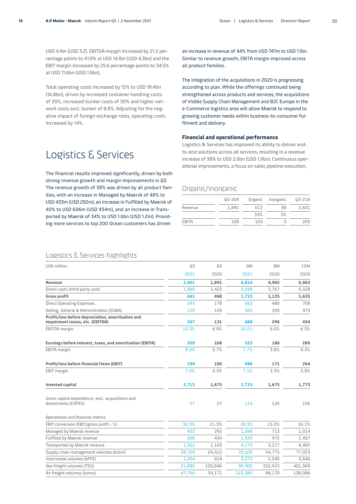<span id="page-13-0"></span>USD 4.1bn (USD 3.2). EBITDA margin increased by 21.2 percentage points to 41.9% at USD 14.1bn (USD 4.3bn) and the EBIT margin increased by 25.6 percentage points to 34.5% at USD 11.6bn (USD 1.9bn).

Total operating costs increased by 15% to USD 19.4bn (16.8bn), driven by increased container handling costs of 20%, increased bunker costs of 30% and higher network costs excl. bunker of 8.8%. Adjusting for the negative impact of foreign exchange rates, operating costs increased by 14%.

# Logistics & Services

The financial results improved significantly, driven by both strong revenue growth and margin improvements in Q3. The revenue growth of 38% was driven by all product families, with an increase in Managed by Maersk of 48% to USD 433m (USD 292m), an increase in Fulfilled by Maersk of 40% to USD 606m (USD 434m), and an increase in Transported by Maersk of 34% to USD 1.6bn (USD 1.2m). Providing more services to top 200 Ocean customers has driven

an increase in revenue of 44% from USD 747m to USD 1.1bn. Similar to revenue growth, EBITA margin improved across all product families.

The integration of the acquisitions in 2020 is progressing according to plan. While the offerings continued being strengthened across products and services, the acquisitions of Visible Supply Chain Management and B2C Europe in the e-Commerce logistics area will allow Maersk to respond to growing customer needs within business-to-consumer fulfilment and delivery.

#### **Financial and operational performance**

Logistics & Services has improved its ability to deliver endto-end solutions across all services, resulting in a revenue increase of 38% to USD 2.6bn (USD 1.9bn). Continuous operational improvements, a focus on sales pipeline execution,

### Organic/inorganic

|         | Q3-20A |     | Organic Inorganic | Q3-21A |
|---------|--------|-----|-------------------|--------|
| Revenue | 1,891  | 612 | 98                | 2.601  |
|         |        | 33% | 5%                |        |
| EBITA   | 108    | 104 | -3                | 209    |

### Logistics & Services highlights

| USD million                                                                           | Q3     | Q3      | 9M      | 9M      | 12M     |
|---------------------------------------------------------------------------------------|--------|---------|---------|---------|---------|
|                                                                                       | 2021   | 2020    | 2021    | 2020    | 2020    |
| Revenue                                                                               | 2,601  | 1,891   | 6,814   | 4,902   | 6,963   |
| Direct costs (third party cost)                                                       | 1,960  | 1,423   | 5,099   | 3,767   | 5,328   |
| <b>Gross profit</b>                                                                   | 641    | 468     | 1,715   | 1,135   | 1,635   |
| <b>Direct Operating Expenses</b>                                                      | 245    | 178     | 662     | 480     | 708     |
| Selling, General & Administration (SG&A)                                              | 129    | 159     | 365     | 359     | 473     |
| Profit/loss before depreciation, amortisation and<br>impairment losses, etc. (EBITDA) | 267    | 131     | 688     | 296     | 454     |
| EBITDA margin                                                                         | 10.3%  | 6.9%    | 10.1%   | 6.0%    | 6.5%    |
| Earnings before interest, taxes, and amortisation (EBITA)                             | 209    | 108     | 523     | 186     | 289     |
| EBITA margin                                                                          | 8.0%   | 5.7%    | 7.7%    | 3.8%    | 4.2%    |
| Profit/loss before financial items (EBIT)                                             | 194    | 100     | 486     | 171     | 264     |
| EBIT margin                                                                           | 7.5%   | 5.3%    | 7.1%    | 3.5%    | 3.8%    |
| Invested capital                                                                      | 2,715  | 1,675   | 2,715   | 1,675   | 1,773   |
| Gross capital expenditure, excl. acquisitions and<br>divestments (CAPEX)              | 57     | 27      | 114     | 126     | 156     |
| Operational and financial metrics                                                     |        |         |         |         |         |
| EBIT conversion (EBIT/gross profit - %)                                               | 30.3%  | 21.3%   | 28.3%   | 15.0%   | 16.1%   |
| Managed by Maersk revenue                                                             | 433    | 292     | 1,098   | 713     | 1,014   |
| Fulfilled by Maersk revenue                                                           | 606    | 434     | 1,543   | 972     | 1,457   |
| Transported by Maersk revenue                                                         | 1,562  | 1,165   | 4,173   | 3,217   | 4,492   |
| Supply chain management volumes (kcbm)                                                | 28,729 | 24,412  | 70,109  | 54,775  | 77,023  |
| Intermodal volumes (kFFE)                                                             | 1,254  | 914     | 3,373   | 2,545   | 3,640   |
| Sea freight volumes (TEU)                                                             | 21,680 | 120,846 | 99,305  | 322,915 | 401,369 |
| Air freight volumes (tonne)                                                           | 47.750 | 34.171  | 123,585 | 98,170  | 138,086 |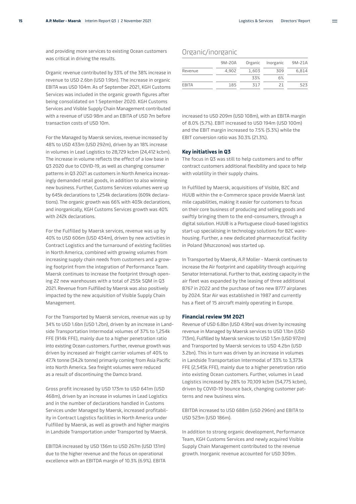and providing more services to existing Ocean customers was critical in driving the results.

Organic revenue contributed by 33% of the 38% increase in revenue to USD 2.6bn (USD 1.9bn). The increase in organic EBITA was USD 104m. As of September 2021, KGH Customs Services was included in the organic growth figures after being consolidated on 1 September 2020. KGH Customs Services and Visible Supply Chain Management contributed with a revenue of USD 98m and an EBITA of USD 7m before transaction costs of USD 10m.

For the Managed by Maersk services, revenue increased by 48% to USD 433m (USD 292m), driven by an 18% increase in volumes in Lead Logistics to 28,729 kcbm (24,412 kcbm). The increase in volume reflects the effect of a low base in Q3 2020 due to COVID-19, as well as changing consumer patterns in Q3 2021 as customers in North America increasingly demanded retail goods, in addition to also winning new business. Further, Customs Services volumes were up by 645k declarations to 1,254k declarations (609k declarations). The organic growth was 66% with 403k declarations, and inorganically, KGH Customs Services growth was 40% with 242k declarations.

For the Fulfilled by Maersk services, revenue was up by 40% to USD 606m (USD 434m), driven by new activities in Contract Logistics and the turnaround of existing facilities in North America, combined with growing volumes from increasing supply chain needs from customers and a growing footprint from the integration of Performance Team. Maersk continues to increase the footprint through opening 22 new warehouses with a total of 255k SQM in Q3 2021. Revenue from Fulfilled by Maersk was also positively impacted by the new acquisition of Visible Supply Chain Management.

For the Transported by Maersk services, revenue was up by 34% to USD 1.6bn (USD 1.2bn), driven by an increase in Landside Transportation Intermodal volumes of 37% to 1,254k FFE (914k FFE), mainly due to a higher penetration ratio into existing Ocean customers. Further, revenue growth was driven by increased air freight carrier volumes of 40% to 47.7k tonne (34.2k tonne) primarily coming from Asia Pacific into North America. Sea freight volumes were reduced as a result of discontinuing the Damco brand.

Gross profit increased by USD 173m to USD 641m (USD 468m), driven by an increase in volumes in Lead Logistics and in the number of declarations handled in Customs Services under Managed by Maersk, increased profitability in Contract Logistics facilities in North America under Fulfilled by Maersk, as well as growth and higher margins in Landside Transportation under Transported by Maersk.

EBITDA increased by USD 136m to USD 267m (USD 131m) due to the higher revenue and the focus on operational excellence with an EBITDA margin of 10.3% (6.9%). EBITA

### Organic/inorganic

|         | 9M-20A | Organic | Inorganic | 9M-21A |
|---------|--------|---------|-----------|--------|
| Revenue | 4.902  | 1,603   | 309       | 6.814  |
|         |        | 33%     | 6%        |        |
| EBITA   | 185    | 317     | 21        | 523    |

increased to USD 209m (USD 108m), with an EBITA margin of 8.0% (5.7%). EBIT increased to USD 194m (USD 100m) and the EBIT margin increased to 7.5% (5.3%) while the EBIT conversion ratio was 30.3% (21.3%).

#### **Key initiatives in Q3**

The focus in Q3 was still to help customers and to offer contract customers additional flexibility and space to help with volatility in their supply chains.

In Fulfilled by Maersk, acquisitions of Visible, B2C and HUUB within the e-Commerce space provide Maersk last mile capabilities, making it easier for customers to focus on their core business of producing and selling goods and swiftly bringing them to the end-consumers, through a digital solution. HUUB is a Portuguese cloud-based logistics start-up specialising in technology solutions for B2C warehousing. Further, a new dedicated pharmaceutical facility in Poland (Mszczonow) was started up.

In Transported by Maersk, A.P. Moller - Maersk continues to increase the Air footprint and capability through acquiring Senator International. Further to that, existing capacity in the air fleet was expanded by the leasing of three additional B767 in 2022 and the purchase of two new B777 airplanes by 2024. Star Air was established in 1987 and currently has a fleet of 15 aircraft mainly operating in Europe.

#### **Financial review 9M 2021**

Revenue of USD 6.8bn (USD 4.9bn) was driven by increasing revenue in Managed by Maersk services to USD 1.1bn (USD 713m), Fulfilled by Maersk services to USD 1.5m (USD 972m) and Transported by Maersk services to USD 4.2bn (USD 3.2bn). This in turn was driven by an increase in volumes in Landside Transportation Intermodal of 33% to 3,373k FFE (2,545k FFE), mainly due to a higher penetration ratio into existing Ocean customers. Further, volumes in Lead Logistics increased by 28% to 70,109 kcbm (54,775 kcbm), driven by COVID-19 bounce back, changing customer patterns and new business wins.

EBITDA increased to USD 688m (USD 296m) and EBITA to USD 523m (USD 186m).

In addition to strong organic development, Performance Team, KGH Customs Services and newly acquired Visible Supply Chain Management contributed to the revenue growth. Inorganic revenue accounted for USD 309m.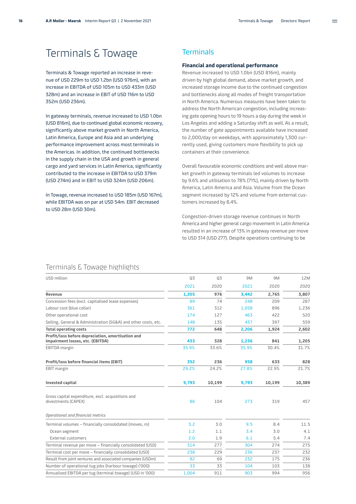# <span id="page-15-0"></span>Terminals & Towage

Terminals & Towage reported an increase in revenue of USD 229m to USD 1.2bn (USD 976m), with an increase in EBITDA of USD 105m to USD 433m (USD 328m) and an increase in EBIT of USD 116m to USD 352m (USD 236m).

In gateway terminals, revenue increased to USD 1.0bn (USD 816m), due to continued global economic recovery, significantly above market growth in North America, Latin America, Europe and Asia and an underlying performance improvement across most terminals in the Americas. In addition, the continued bottlenecks in the supply chain in the USA and growth in general cargo and yard services in Latin America, significantly contributed to the increase in EBITDA to USD 379m (USD 274m) and in EBIT to USD 324m (USD 206m).

In Towage, revenue increased to USD 185m (USD 167m), while EBITDA was on par at USD 54m. EBIT decreased to USD 28m (USD 30m).

### **Terminals**

#### **Financial and operational performance**

Revenue increased to USD 1.0bn (USD 816m), mainly driven by high global demand, above market growth, and increased storage income due to the continued congestion and bottlenecks along all modes of freight transportation in North America. Numerous measures have been taken to address the North American congestion, including increasing gate opening hours to 19 hours a day during the week in Los Angeles and adding a Saturday shift as well. As a result, the number of gate appointments available have increased to 2,000/day on weekdays, with approximately 1,300 currently used, giving customers more flexibility to pick up containers at their convenience.

Overall favourable economic conditions and well above market growth in gateway terminals led volumes to increase by 9.6% and utilisation to 78% (71%), mainly driven by North America, Latin America and Asia. Volume from the Ocean segment increased by 12% and volume from external customers increased by 8.4%.

Congestion-driven storage revenue continues in North America and higher general cargo movement in Latin America resulted in an increase of 13% in gateway revenue per move to USD 314 (USD 277). Despite operations continuing to be

### Terminals & Towage highlights

| USD million                                                                           | Q3    | Q3     | 9M    | 9M     | 12M    |
|---------------------------------------------------------------------------------------|-------|--------|-------|--------|--------|
|                                                                                       | 2021  | 2020   | 2021  | 2020   | 2020   |
| Revenue                                                                               | 1,205 | 976    | 3,442 | 2.765  | 3,807  |
| Concession fees (excl. capitalised lease expenses)                                    | 89    | 74     | 248   | 209    | 287    |
| Labour cost (blue collar)                                                             | 361   | 312    | 1,058 | 896    | 1,236  |
| Other operational cost                                                                | 174   | 127    | 463   | 422    | 520    |
| Selling, General & Administration (SG&A) and other costs, etc.                        | 148   | 135    | 437   | 397    | 559    |
| <b>Total operating costs</b>                                                          | 772   | 648    | 2,206 | 1,924  | 2,602  |
| Profit/loss before depreciation, amortisation and<br>impairment losses, etc. (EBITDA) | 433   | 328    | 1,236 | 841    | 1,205  |
| EBITDA margin                                                                         | 35.9% | 33.6%  | 35.9% | 30.4%  | 31.7%  |
| Profit/loss before financial items (EBIT)                                             | 352   | 236    | 958   | 633    | 828    |
| EBIT margin                                                                           | 29.2% | 24.2%  | 27.8% | 22.9%  | 21.7%  |
| <b>Invested capital</b>                                                               | 9,793 | 10,199 | 9,793 | 10,199 | 10,389 |
| Gross capital expenditure, excl. acquisitions and<br>divestments (CAPEX)              | 86    | 104    | 273   | 319    | 457    |
| Operational and financial metrics                                                     |       |        |       |        |        |
| Terminal volumes - financially consolidated (moves, m)                                | 3.2   | 3.0    | 9.5   | 8.4    | 11.5   |
| Ocean segment                                                                         | 1.2   | 1.1    | 3.4   | 3.0    | 4.1    |
| External customers                                                                    | 2.0   | 1.9    | 6.1   | 5.4    | 7.4    |
| Terminal revenue per move - financially consolidated (USD)                            | 314   | 277    | 304   | 274    | 275    |
| Terminal cost per move - financially consolidated (USD)                               | 238   | 229    | 236   | 237    | 232    |
| Result from joint ventures and associated companies (USDm)                            | 82    | 69     | 232   | 175    | 236    |
| Number of operational tug jobs (harbour towage) ('000)                                | 33    | 33     | 104   | 103    | 138    |
| Annualised EBITDA per tug (terminal towage) (USD in '000)                             | 1.004 | 911    | 903   | 994    | 956    |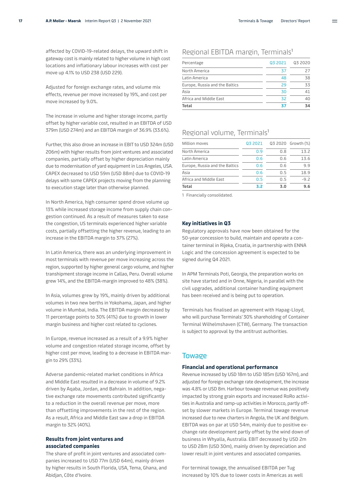affected by COVID-19-related delays, the upward shift in gateway cost is mainly related to higher volume in high cost locations and inflationary labour increases with cost per move up 4.1% to USD 238 (USD 229).

Adjusted for foreign exchange rates, and volume mix effects, revenue per move increased by 19%, and cost per move increased by 9.0%.

The increase in volume and higher storage income, partly offset by higher variable cost, resulted in an EBITDA of USD 379m (USD 274m) and an EBITDA margin of 36.9% (33.6%).

Further, this also drove an increase in EBIT to USD 324m (USD 206m) with higher results from joint ventures and associated companies, partially offset by higher depreciation mainly due to modernisation of yard equipment in Los Angeles, USA. CAPEX decreased to USD 59m (USD 88m) due to COVID-19 delays with some CAPEX projects moving from the planning to execution stage later than otherwise planned.

In North America, high consumer spend drove volume up 13% while increased storage income from supply chain congestion continued. As a result of measures taken to ease the congestion, US terminals experienced higher variable costs, partially offsetting the higher revenue, leading to an increase in the EBITDA margin to 37% (27%).

In Latin America, there was an underlying improvement in most terminals with revenue per move increasing across the region, supported by higher general cargo volume, and higher transhipment storage income in Callao, Peru. Overall volume grew 14%, and the EBITDA-margin improved to 48% (38%).

In Asia, volumes grew by 19%, mainly driven by additional volumes in two new berths in Yokohama, Japan, and higher volume in Mumbai, India. The EBITDA margin decreased by 11 percentage points to 30% (41%) due to growth in lower margin business and higher cost related to cyclones.

In Europe, revenue increased as a result of a 9.9% higher volume and congestion related storage income, offset by higher cost per move, leading to a decrease in EBITDA margin to 29% (33%).

Adverse pandemic-related market conditions in Africa and Middle East resulted in a decrease in volume of 9.2% driven by Aqaba, Jordan, and Bahrain. In addition, negative exchange rate movements contributed significantly to a reduction in the overall revenue per move, more than offsetting improvements in the rest of the region. As a result, Africa and Middle East saw a drop in EBITDA margin to 32% (40%).

#### **Results from joint ventures and associated companies**

The share of profit in joint ventures and associated companies increased to USD 77m (USD 64m), mainly driven by higher results in South Florida, USA, Tema, Ghana, and Abidjan, Côte d'Ivoire.

### Regional EBITDA margin, Terminals1

| Percentage                     | Q3 2021 | 03 2020 |
|--------------------------------|---------|---------|
| North America                  | 37      | 27      |
| Latin America                  | 48      | 38      |
| Europe, Russia and the Baltics | 29      | 33      |
| Asia                           | 30      | 41      |
| Africa and Middle East         | 32      | 40      |
| Total                          | 37      | 34      |

### Regional volume, Terminals<sup>1</sup>

| Million moves                  | Q3 2021 |     | Q3 2020 Growth (%) |
|--------------------------------|---------|-----|--------------------|
| North America                  | 0.9     | 0.8 | 13.2               |
| Latin America                  | 0.6     | 0.6 | 13.6               |
| Europe, Russia and the Baltics | 0.6     | 0.6 | 9.9                |
| Asia                           | 0.6     | 0.5 | 18.9               |
| Africa and Middle East         | 0.5     | 0.5 | $-9.2$             |
| <b>Total</b>                   | 3.2     | 3.0 | 9.6                |

1 Financially consolidated.

#### **Key initiatives in Q3**

Regulatory approvals have now been obtained for the 50-year concession to build, maintain and operate a container terminal in Rijeka, Croatia, in partnership with ENNA Logic and the concession agreement is expected to be signed during Q4 2021.

In APM Terminals Poti, Georgia, the preparation works on site have started and in Onne, Nigeria, in parallel with the civil upgrades, additional container handling equipment has been received and is being put to operation.

Terminals has finalised an agreement with Hapag-Lloyd, who will purchase Terminals' 30% shareholding of Container Terminal Wilhelmshaven (CTW), Germany. The transaction is subject to approval by the antitrust authorities.

### **Towage**

#### **Financial and operational performance**

Revenue increased by USD 18m to USD 185m (USD 167m), and adjusted for foreign exchange rate development, the increase was 4.8% or USD 8m. Harbour towage revenue was positively impacted by strong grain exports and increased RoRo activities in Australia and ramp-up activities in Morocco, partly offset by slower markets in Europe. Terminal towage revenue increased due to new charters in Angola, the UK and Belgium. EBITDA was on par at USD 54m, mainly due to positive ex change rate development partly offset by the wind down of business in Whyalla, Australia. EBIT decreased by USD 2m to USD 28m (USD 30m), mainly driven by depreciation and lower result in joint ventures and associated companies.

For terminal towage, the annualised EBITDA per Tug increased by 10% due to lower costs in Americas as well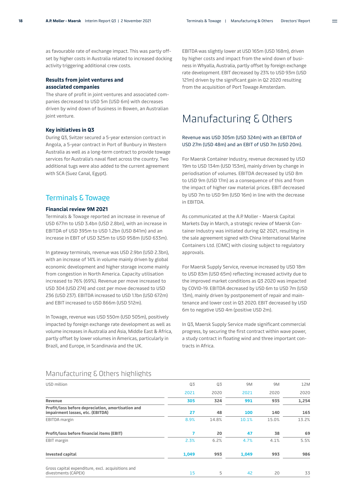<span id="page-17-0"></span>as favourable rate of exchange impact. This was partly offset by higher costs in Australia related to increased docking activity triggering additional crew costs.

#### **Results from joint ventures and associated companies**

The share of profit in joint ventures and associated companies decreased to USD 5m (USD 6m) with decreases driven by wind down of business in Bowen, an Australian joint venture.

#### **Key initiatives in Q3**

During Q3, Svitzer secured a 5-year extension contract in Angola, a 5-year contract in Port of Bunbury in Western Australia as well as a long-term contract to provide towage services for Australia's naval fleet across the country. Two additional tugs were also added to the current agreement with SCA (Suez Canal, Egypt).

### Terminals & Towage

### **Financial review 9M 2021**

Terminals & Towage reported an increase in revenue of USD 677m to USD 3.4bn (USD 2.8bn), with an increase in EBITDA of USD 395m to USD 1.2bn (USD 841m) and an increase in EBIT of USD 325m to USD 958m (USD 633m).

In gateway terminals, revenue was USD 2.9bn (USD 2.3bn), with an increase of 14% in volume mainly driven by global economic development and higher storage income mainly from congestion in North America. Capacity utilisation increased to 76% (69%). Revenue per move increased to USD 304 (USD 274) and cost per move decreased to USD 236 (USD 237). EBITDA increased to USD 1.1bn (USD 672m) and EBIT increased to USD 866m (USD 512m).

In Towage, revenue was USD 550m (USD 505m), positively impacted by foreign exchange rate development as well as volume increases in Australia and Asia, Middle East & Africa, partly offset by lower volumes in Americas, particularly in Brazil, and Europe, in Scandinavia and the UK.

EBITDA was slightly lower at USD 165m (USD 168m), driven by higher costs and impact from the wind down of business in Whyalla, Australia, partly offset by foreign exchange rate development. EBIT decreased by 23% to USD 93m (USD 121m) driven by the significant gain in Q2 2020 resulting from the acquisition of Port Towage Amsterdam.

# Manufacturing & Others

#### Revenue was USD 305m (USD 324m) with an EBITDA of USD 27m (USD 48m) and an EBIT of USD 7m (USD 20m).

For Maersk Container Industry, revenue decreased by USD 19m to USD 134m (USD 153m), mainly driven by change in periodisation of volumes. EBITDA decreased by USD 8m to USD 9m (USD 17m) as a consequence of this and from the impact of higher raw material prices. EBIT decreased by USD 7m to USD 9m (USD 16m) in line with the decrease in EBITDA.

As communicated at the A.P. Moller - Maersk Capital Markets Day in March, a strategic review of Maersk Container Industry was initiated during Q2 2021, resulting in the sale agreement signed with China International Marine Containers Ltd. (CIMC) with closing subject to regulatory approvals.

For Maersk Supply Service, revenue increased by USD 18m to USD 83m (USD 65m) reflecting increased activity due to the improved market conditions as Q3 2020 was impacted by COVID-19. EBITDA decreased by USD 6m to USD 7m (USD 13m), mainly driven by postponement of repair and maintenance and lower cost in Q3 2020. EBIT decreased by USD 6m to negative USD 4m (positive USD 2m).

In Q3, Maersk Supply Service made significant commercial progress, by securing the first contract within wave power, a study contract in floating wind and three important contracts in Africa.

| USD million                                                                           | Q3    | Q3    | 9M    | 9M    | 12M   |
|---------------------------------------------------------------------------------------|-------|-------|-------|-------|-------|
|                                                                                       | 2021  | 2020  | 2021  | 2020  | 2020  |
| Revenue                                                                               | 305   | 324   | 991   | 935   | 1,254 |
| Profit/loss before depreciation, amortisation and<br>impairment losses, etc. (EBITDA) | 27    | 48    | 100   | 140   | 165   |
| EBITDA margin                                                                         | 8.9%  | 14.8% | 10.1% | 15.0% | 13.2% |
| Profit/loss before financial items (EBIT)                                             | 7     | 20    | 47    | 38    | 69    |
| EBIT margin                                                                           | 2.3%  | 6.2%  | 4.7%  | 4.1%  | 5.5%  |
| <b>Invested capital</b>                                                               | 1,049 | 993   | 1,049 | 993   | 986   |
| Gross capital expenditure, excl. acquisitions and<br>divestments (CAPEX)              | 15    | 5     | 42    | 20    | 33    |

### Manufacturing & Others highlights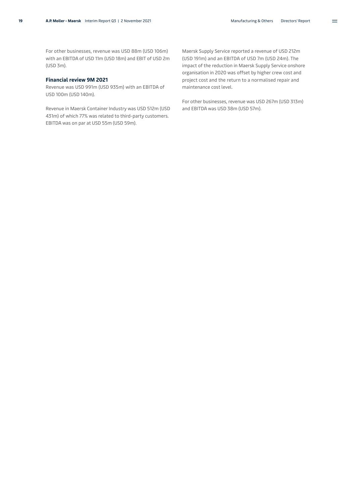$\equiv$ 

For other businesses, revenue was USD 88m (USD 106m) with an EBITDA of USD 11m (USD 18m) and EBIT of USD 2m (USD 3m).

#### **Financial review 9M 2021**

Revenue was USD 991m (USD 935m) with an EBITDA of USD 100m (USD 140m).

Revenue in Maersk Container Industry was USD 512m (USD 431m) of which 77% was related to third-party customers. EBITDA was on par at USD 55m (USD 59m).

Maersk Supply Service reported a revenue of USD 212m (USD 191m) and an EBITDA of USD 7m (USD 24m). The impact of the reduction in Maersk Supply Service onshore organisation in 2020 was offset by higher crew cost and project cost and the return to a normalised repair and maintenance cost level.

For other businesses, revenue was USD 267m (USD 313m) and EBITDA was USD 38m (USD 57m).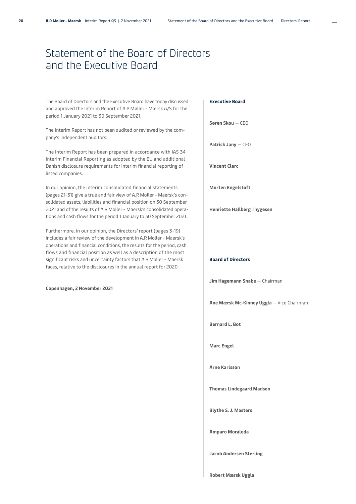# <span id="page-19-0"></span>Statement of the Board of Directors and the Executive Board

[The Board of Directors and the Executive Board have today discussed](pp://Other statements/Statement by executive and supervisory boards?taxonomy=DKGAAP&labellanguage=en&period=1_Consolidated)  and approved the Interim Report of A.P. Møller - Mærsk A/S for the period 1 January 2021 to 30 September 2021.

The Interim Report has not been audited or reviewed by the company's independent auditors.

The Interim Report has been prepared in accordance with IAS 34 Interim Financial Reporting as adopted by the EU and additional Danish disclosure requirements for interim financial reporting of listed companies.

In our opinion, the interim consolidated financial statements (pages 21-31) give a true and fair view of A.P. Moller - Maersk's consolidated assets, liabilities and financial position on 30 September 2021 and of the results of A.P. Moller - Maersk's consolidated operations and cash flows for the period 1 January to 30 September 2021.

Furthermore, in our opinion, the Directors' report (pages 3-19) includes a fair review of the development in A.P. Moller - Maersk's operations and financial conditions, the results for the period, cash flows and financial position as well as a description of the most significant risks and uncertainty factors that A.P. Moller - Maersk faces, relative to the disclosures in the annual report for 2020.

#### **Copenhagen, 2 November 2021**

#### **Executive Board**

**Søren Skou** — CEO

**Patrick Jany** — CFO

**Vincent Clerc**

**Morten Engelstoft**

**Henriette Hallberg Thygesen**

#### **Board of Directors**

**Jim Hagemann Snabe** — Chairman

**Ane Mærsk Mc-Kinney Uggla** — Vice Chairman

**Bernard L. Bot**

**Marc Engel**

**Arne Karlsson**

**Thomas Lindegaard Madsen**

**Blythe S. J. Masters**

**Amparo Moraleda**

**Jacob Andersen Sterling**

**Robert Mærsk Uggla**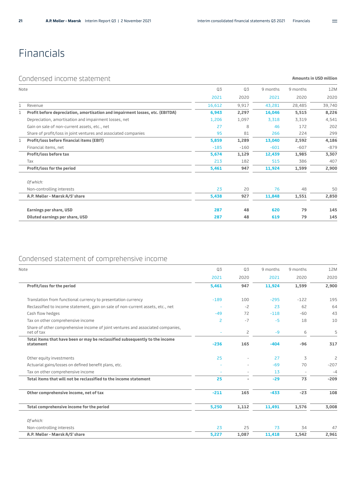**Amounts in USD million** 

 $\equiv$ 

# <span id="page-20-0"></span>Financials

### Condensed income statement

| Note |                                                                               | Q3<br>Q3<br>9 months<br>9 months |        |                                                       | 12M    |        |
|------|-------------------------------------------------------------------------------|----------------------------------|--------|-------------------------------------------------------|--------|--------|
|      |                                                                               | 2021                             | 2020   | 2021                                                  | 2020   | 2020   |
| 1    | Revenue                                                                       | 16,612                           | 9,917  | 43,281                                                | 28,485 | 39,740 |
|      | Profit before depreciation, amortisation and impairment losses, etc. (EBITDA) | 6,943                            | 2,297  | 16,046                                                | 5,515  | 8,226  |
|      | Depreciation, amortisation and impairment losses, net                         | 1,206                            | 1,097  | 3,318                                                 | 3,319  | 4,541  |
|      | Gain on sale of non-current assets, etc., net                                 | 27                               | 8      | 46                                                    | 172    | 202    |
|      | Share of profit/loss in joint ventures and associated companies               | 95                               | 81     | 266                                                   | 224    | 299    |
| 1    | Profit/loss before financial items (EBIT)                                     | 5,859                            | 1,289  | 13,040                                                | 2,592  | 4,186  |
|      | Financial items, net                                                          | $-185$                           | $-160$ | $-601$                                                | $-607$ | $-879$ |
|      | Profit/loss before tax                                                        | 5,674                            | 1,129  | 12,439                                                | 1,985  | 3,307  |
|      | Tax                                                                           | 213                              | 182    | 515                                                   | 386    | 407    |
|      | Profit/loss for the period                                                    | 5,461                            | 947    | 11,924                                                | 1,599  | 2,900  |
|      | Of which:                                                                     |                                  |        |                                                       |        |        |
|      | Non-controlling interests                                                     | 23                               | 20     | 76<br>48<br>11,848<br>1,551<br>79<br>620<br>79<br>619 | 50     |        |
|      | A.P. Møller - Mærsk A/S' share                                                | 5,438                            | 927    |                                                       |        | 2,850  |
|      | Earnings per share, USD                                                       | 287                              | 48     |                                                       |        | 145    |
|      | Diluted earnings per share, USD                                               | 287                              | 48     |                                                       |        | 145    |

### Condensed statement of comprehensive income

| Note                                                                                          | Q3                       | Q3    | 9 months | 9 months                 | 12M            |
|-----------------------------------------------------------------------------------------------|--------------------------|-------|----------|--------------------------|----------------|
|                                                                                               | 2021                     | 2020  | 2021     | 2020                     | 2020           |
| Profit/loss for the period                                                                    | 5,461                    | 947   | 11,924   | 1,599                    | 2,900          |
| Translation from functional currency to presentation currency                                 | $-189$                   | 100   | $-295$   | $-122$                   | 195            |
| Reclassified to income statement, gain on sale of non-current assets, etc., net               |                          | $-2$  | 23       | 62                       | 64             |
| Cash flow hedges                                                                              | -49                      | 72    | $-118$   | $-60$                    | 43             |
| Tax on other comprehensive income                                                             | 2                        | $-7$  | $-5$     | 18                       | 10             |
| Share of other comprehensive income of joint ventures and associated companies,<br>net of tax |                          | 2     | $-9$     | 6                        | 5              |
| Total items that have been or may be reclassified subsequently to the income<br>statement     | $-236$                   | 165   | $-404$   | $-96$                    | 317            |
| Other equity investments                                                                      | 25                       |       | 27       | 3                        | $\overline{c}$ |
| Actuarial gains/losses on defined benefit plans, etc.                                         |                          |       | $-69$    | 70                       | $-207$         |
| Tax on other comprehensive income                                                             | $\overline{\phantom{a}}$ |       | 13       | $\overline{\phantom{a}}$ | $-4$           |
| Total items that will not be reclassified to the income statement                             | 25                       | ٠     | $-29$    | 73                       | $-209$         |
| Other comprehensive income, net of tax                                                        | $-211$                   | 165   | $-433$   | $-23$                    | 108            |
| Total comprehensive income for the period                                                     | 5,250                    | 1,112 | 11,491   | 1,576                    | 3,008          |
| Of which:                                                                                     |                          |       |          |                          |                |
| Non-controlling interests                                                                     | 23                       | 25    | 73       | 34                       | 47             |
| A.P. Møller - Mærsk A/S' share                                                                | 5,227                    | 1,087 | 11,418   | 1,542                    | 2,961          |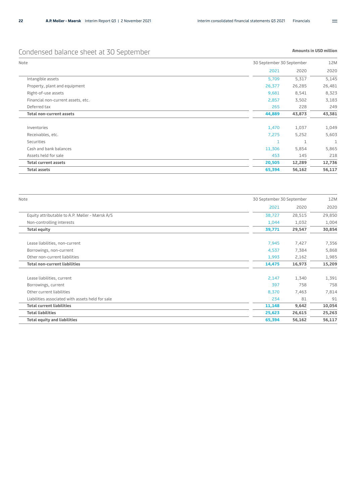## <span id="page-21-0"></span>Condensed balance sheet at 30 September

#### **Amounts in USD million**

| Note                               | 30 September 30 September | 12M    |  |
|------------------------------------|---------------------------|--------|--|
|                                    | 2020<br>2021              | 2020   |  |
| Intangible assets                  | 5,317<br>5,709            | 5,145  |  |
| Property, plant and equipment      | 26,377<br>26,285          | 26,481 |  |
| Right-of-use assets                | 9,681<br>8,541            | 8,323  |  |
| Financial non-current assets, etc. | 2,857<br>3,502            | 3,183  |  |
| Deferred tax                       | 228<br>265                | 249    |  |
| <b>Total non-current assets</b>    | 44,889<br>43,873          | 43,381 |  |
| Inventories                        | 1,470<br>1,037            | 1,049  |  |
| Receivables, etc.                  | 5,252<br>7,275            | 5,603  |  |
| <b>Securities</b>                  | $\mathbf{1}$              | 1      |  |
| Cash and bank balances             | 5,854<br>11,306           | 5,865  |  |
| Assets held for sale               | 453<br>145                | 218    |  |
| <b>Total current assets</b>        | 20,505<br>12,289          | 12,736 |  |
| <b>Total assets</b>                | 56,162<br>65,394          | 56,117 |  |

| Note                                             | 30 September 30 September | 12M    |
|--------------------------------------------------|---------------------------|--------|
|                                                  | 2021<br>2020              | 2020   |
| Equity attributable to A.P. Møller - Mærsk A/S   | 28,515<br>38,727          | 29,850 |
| Non-controlling interests                        | 1,044<br>1,032            | 1,004  |
| <b>Total equity</b>                              | 29,547<br>39,771          | 30,854 |
| Lease liabilities, non-current                   | 7,945<br>7,427            | 7,356  |
| Borrowings, non-current                          | 7,384<br>4,537            | 5,868  |
| Other non-current liabilities                    | 1,993<br>2,162            | 1,985  |
| <b>Total non-current liabilities</b>             | 16,973<br>14,475          | 15,209 |
| Lease liabilities, current                       | 2,147<br>1,340            | 1,391  |
| Borrowings, current                              | 397<br>758                | 758    |
| Other current liabilities                        | 8,370<br>7,463            | 7,814  |
| Liabilities associated with assets held for sale | 81<br>234                 | 91     |
| <b>Total current liabilities</b>                 | 11,148<br>9,642           | 10,054 |
| <b>Total liabilities</b>                         | 25,623<br>26,615          | 25,263 |
| <b>Total equity and liabilities</b>              | 65,394<br>56,162          | 56,117 |

 $\equiv$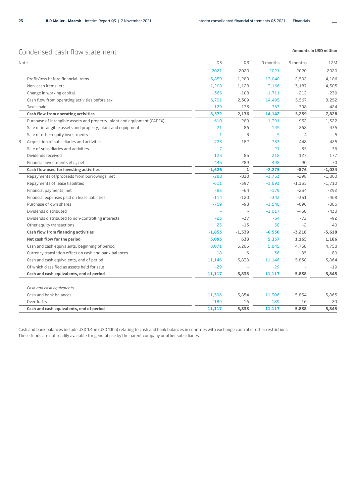$\equiv$ 

### <span id="page-22-0"></span>Condensed cash flow statement

**Amounts in USD million** 

|   | Note                                                                    | Q3             | Q3           | 9 months | 9 months | 12 <sub>N</sub> |
|---|-------------------------------------------------------------------------|----------------|--------------|----------|----------|-----------------|
|   |                                                                         | 2021           | 2020         | 2021     | 2020     | 2020            |
|   | Profit/loss before financial items                                      | 5,859          | 1,289        | 13,040   | 2,592    | 4,186           |
|   | Non-cash items, etc.                                                    | 1,208          | 1,128        | 3,166    | 3,187    | 4,305           |
|   | Change in working capital                                               | $-366$         | $-108$       | $-1,711$ | $-212$   | $-239$          |
|   | Cash flow from operating activities before tax                          | 6,701          | 2,309        | 14,495   | 5,567    | 8,252           |
|   | Taxes paid                                                              | $-129$         | $-133$       | $-353$   | $-308$   | $-424$          |
|   | Cash flow from operating activities                                     | 6,572          | 2,176        | 14,142   | 5,259    | 7,828           |
|   | Purchase of intangible assets and property, plant and equipment (CAPEX) | $-610$         | $-280$       | $-1,391$ | $-952$   | $-1,322$        |
|   | Sale of intangible assets and property, plant and equipment             | 21             | 86           | 145      | 268      | 435             |
|   | Sale of other equity investments                                        | 1              | 3            | 5        | 4        | 5               |
| 3 | Acquisition of subsidiaries and activities                              | $-723$         | $-182$       | $-733$   | $-448$   | $-425$          |
|   | Sale of subsidiaries and activities                                     | $\overline{7}$ |              | $-21$    | 35       | 36              |
|   | Dividends received                                                      | 123            | 85           | 218      | 127      | 177             |
|   | Financial investments etc., net                                         | $-445$         | 289          | $-498$   | 90       | 70              |
|   | Cash flow used for investing activities                                 | $-1,626$       | $\mathbf{1}$ | $-2,275$ | $-876$   | $-1,024$        |
|   | Repayments of/proceeds from borrowings, net                             | $-288$         | $-810$       | $-1,753$ | $-298$   | $-1,860$        |
|   | Repayments of lease liabilities                                         | $-611$         | $-397$       | $-1,693$ | $-1,135$ | $-1,710$        |
|   | Financial payments, net                                                 | $-83$          | $-64$        | $-179$   | $-234$   | $-292$          |
|   | Financial expenses paid on lease liabilities                            | $-114$         | $-120$       | $-342$   | $-351$   | $-468$          |
|   | Purchase of own shares                                                  | $-759$         | $-98$        | $-1,540$ | $-696$   | $-806$          |
|   | Dividends distributed                                                   |                |              | $-1,017$ | $-430$   | $-430$          |
|   | Dividends distributed to non-controlling interests                      | $-23$          | $-37$        | $-64$    | $-72$    | -92             |
|   | Other equity transactions                                               | 25             | $-13$        | 58       | $-2$     | 4C              |
|   | Cash flow from financing activities                                     | $-1,853$       | $-1,539$     | $-6,530$ | $-3,218$ | $-5,618$        |
|   | Net cash flow for the period                                            | 3,093          | 638          | 5,337    | 1,165    | 1,186           |
|   | Cash and cash equivalents, beginning of period                          | 8,071          | 5,206        | 5,845    | 4,758    | 4,758           |
|   | Currency translation effect on cash and bank balances                   | $-18$          | -6           | -36      | $-85$    | $-80$           |
|   | Cash and cash equivalents, end of period                                | 11,146         | 5,838        | 11,146   | 5,838    | 5,864           |
|   | Of which classified as assets held for sale                             | $-29$          |              | $-29$    |          | $-19$           |
|   | Cash and cash equivalents, end of period                                | 11,117         | 5,838        | 11,117   | 5,838    | 5,845           |
|   | Cash and cash equivalents                                               |                |              |          |          |                 |
|   | Cash and bank balances                                                  | 11,306         | 5,854        | 11,306   | 5,854    | 5,865           |
|   | Overdrafts                                                              | 189            | 16           | 189      | 16       | 20              |
|   | Cash and cash equivalents, end of period                                | 11,117         | 5,838        | 11,117   | 5,838    | 5,845           |

Cash and bank balances include USD 1.4bn (USD 1.1bn) relating to cash and bank balances in countries with exchange control or other restrictions. These funds are not readily available for general use by the parent company or other subsidiaries.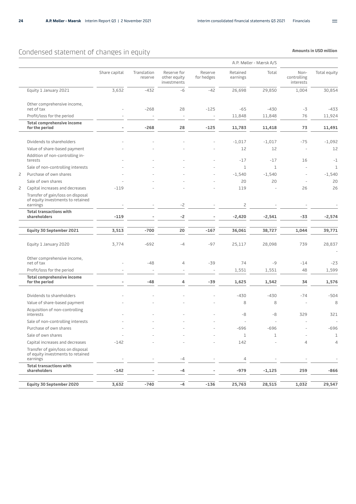## <span id="page-23-0"></span>Condensed statement of changes in equity

|   |                                                                                    | A.P. Møller - Mærsk A/S |                        |                                            |                       |                      |             |                                  |                |
|---|------------------------------------------------------------------------------------|-------------------------|------------------------|--------------------------------------------|-----------------------|----------------------|-------------|----------------------------------|----------------|
|   |                                                                                    | Share capital           | Translation<br>reserve | Reserve for<br>other equity<br>investments | Reserve<br>for hedges | Retained<br>earnings | Total       | Non-<br>controlling<br>interests | Total equity   |
|   | Equity 1 January 2021                                                              | 3,632                   | $-432$                 | $-6$                                       | $-42$                 | 26,698               | 29,850      | 1,004                            | 30,854         |
|   | Other comprehensive income,<br>net of tax                                          |                         | $-268$                 | 28                                         | $-125$                | $-65$                | $-430$      | $-3$                             | $-433$         |
|   | Profit/loss for the period                                                         |                         |                        |                                            |                       | 11,848               | 11,848      | 76                               | 11,924         |
|   | <b>Total comprehensive income</b><br>for the period                                |                         | $-268$                 | 28                                         | $-125$                | 11,783               | 11,418      | 73                               | 11,491         |
|   | Dividends to shareholders                                                          |                         |                        |                                            |                       | $-1,017$             | $-1,017$    | $-75$                            | $-1,092$       |
|   |                                                                                    |                         |                        |                                            |                       | 12                   | 12          | $\overline{\phantom{a}}$         | 12             |
|   | Value of share-based payment                                                       |                         |                        |                                            |                       |                      |             |                                  |                |
|   | Addition of non-controlling in-<br>terests                                         |                         |                        |                                            |                       | $-17$                | $-17$       | 16                               | $-1$           |
|   | Sale of non-controlling interests                                                  |                         |                        |                                            |                       | 1                    | 1           | $\overline{\phantom{a}}$         | $\mathbf{1}$   |
| 2 | Purchase of own shares                                                             |                         |                        |                                            |                       | $-1,540$             | $-1,540$    | ÷                                | $-1,540$       |
|   | Sale of own shares                                                                 |                         |                        |                                            |                       | 20                   | 20          | $\overline{a}$                   | 20             |
| 2 | Capital increases and decreases                                                    | $-119$                  |                        |                                            |                       | 119                  |             | 26                               | 26             |
|   | Transfer of gain/loss on disposal<br>of equity investments to retained<br>earnings |                         |                        | -2                                         |                       | 2                    |             |                                  |                |
|   | <b>Total transactions with</b>                                                     |                         |                        |                                            |                       |                      |             |                                  |                |
|   | shareholders                                                                       | $-119$                  |                        | -2                                         |                       | $-2,420$             | $-2,541$    | -33                              | $-2,574$       |
|   | Equity 30 September 2021                                                           | 3,513                   | $-700$                 | 20                                         | $-167$                | 36,061               | 38,727      | 1,044                            | 39,771         |
|   |                                                                                    |                         |                        |                                            |                       |                      |             |                                  |                |
|   | Equity 1 January 2020                                                              | 3,774                   | $-692$                 | -4                                         | $-97$                 | 25,117               | 28,098      | 739                              | 28,837         |
|   | Other comprehensive income,<br>net of tax                                          |                         | $-48$                  | 4                                          | $-39$                 | 74                   | $-9$        | $-14$                            | $-23$          |
|   | Profit/loss for the period                                                         |                         |                        | ÷                                          | ÷,                    | 1,551                | 1,551       | 48                               | 1,599          |
|   | Total comprehensive income<br>for the period                                       |                         | $-48$                  | 4                                          | $-39$                 | 1,625                | 1,542       | 34                               | 1,576          |
|   |                                                                                    |                         |                        |                                            |                       |                      |             |                                  |                |
|   | Dividends to shareholders                                                          |                         |                        |                                            |                       | $-430$               | $-430$      | $-74$                            | $-504$         |
|   | Value of share-based payment                                                       |                         |                        |                                            |                       | 8                    | 8           | ÷                                | 8              |
|   | Acquisition of non-controlling<br>interests                                        |                         |                        |                                            |                       | -8                   | -8          | 329                              | 321            |
|   | Sale of non-controlling interests                                                  |                         |                        |                                            |                       |                      |             |                                  |                |
|   | Purchase of own shares                                                             |                         |                        |                                            |                       | -696                 | 696         |                                  | $-696$         |
|   | Sale of own shares                                                                 |                         |                        |                                            |                       | $\mathbf 1$          | $\mathbf 1$ |                                  | $\mathbf 1$    |
|   | Capital increases and decreases                                                    | $-142$                  |                        |                                            |                       | 142                  |             | 4                                | $\overline{4}$ |
|   | Transfer of gain/loss on disposal<br>of equity investments to retained<br>earnings |                         |                        | -4                                         |                       | 4                    |             |                                  |                |
|   | <b>Total transactions with</b>                                                     |                         |                        |                                            |                       |                      |             |                                  |                |
|   | shareholders                                                                       | $-142$                  |                        | -4                                         |                       | $-979$               | $-1,125$    | 259                              | $-866$         |
|   | Equity 30 September 2020                                                           | 3,632                   | $-740$                 | -4                                         | $-136$                | 25,763               | 28,515      | 1,032                            | 29,547         |

 $\equiv$ 

**Amounts in USD million**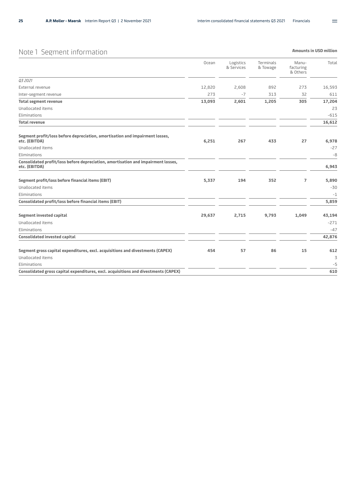**Amounts in USD million** 

 $\equiv$ 

## <span id="page-24-0"></span>Note 1 Segment information

|                                                                                                    | Ocean  | Logistics<br>& Services | Terminals<br>& Towage | Manu-<br>facturing<br>& Others | Total  |
|----------------------------------------------------------------------------------------------------|--------|-------------------------|-----------------------|--------------------------------|--------|
| 03 20 21                                                                                           |        |                         |                       |                                |        |
| External revenue                                                                                   | 12,820 | 2,608                   | 892                   | 273                            | 16,593 |
| Inter-segment revenue                                                                              | 273    | $-7$                    | 313                   | 32                             | 611    |
| <b>Total segment revenue</b>                                                                       | 13,093 | 2,601                   | 1,205                 | 305                            | 17,204 |
| Unallocated items                                                                                  |        |                         |                       |                                | 23     |
| Eliminations                                                                                       |        |                         |                       |                                | $-615$ |
| <b>Total revenue</b>                                                                               |        |                         |                       |                                | 16,612 |
| Segment profit/loss before depreciation, amortisation and impairment losses,<br>etc. (EBITDA)      | 6,251  | 267                     | 433                   | 27                             | 6,978  |
| Unallocated items                                                                                  |        |                         |                       |                                | $-27$  |
| Eliminations                                                                                       |        |                         |                       |                                | $-8$   |
| Consolidated profit/loss before depreciation, amortisation and impairment losses,<br>etc. (EBITDA) |        |                         |                       |                                | 6,943  |
| Segment profit/loss before financial items (EBIT)                                                  | 5,337  | 194                     | 352                   | $\overline{7}$                 | 5,890  |
| Unallocated items                                                                                  |        |                         |                       |                                | $-30$  |
| Eliminations                                                                                       |        |                         |                       |                                | $-1$   |
| Consolidated profit/loss before financial items (EBIT)                                             |        |                         |                       |                                | 5,859  |
| <b>Segment invested capital</b>                                                                    | 29,637 | 2,715                   | 9,793                 | 1,049                          | 43,194 |
| Unallocated items                                                                                  |        |                         |                       |                                | $-271$ |
| Eliminations                                                                                       |        |                         |                       |                                | $-47$  |
| <b>Consolidated invested capital</b>                                                               |        |                         |                       |                                | 42,876 |
| Segment gross capital expenditures, excl. acquisitions and divestments (CAPEX)                     | 454    | 57                      | 86                    | 15                             | 612    |
| Unallocated items                                                                                  |        |                         |                       |                                | 3      |
| Eliminations                                                                                       |        |                         |                       |                                | $-5$   |
| Consolidated gross capital expenditures, excl. acquisitions and divestments (CAPEX)                |        |                         |                       |                                | 610    |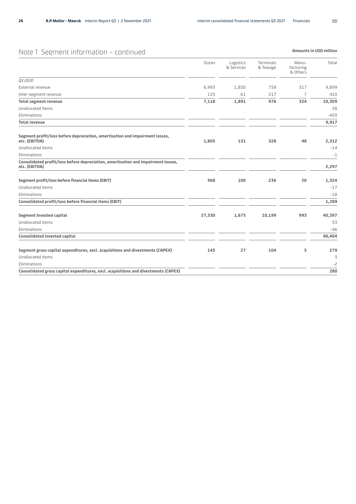## Note 1 Segment information – continued

|                                                                                                    | Ocean  | Logistics<br>& Services | Terminals<br>& Towage | Manu-<br>facturing<br>& Others | Total  |
|----------------------------------------------------------------------------------------------------|--------|-------------------------|-----------------------|--------------------------------|--------|
| Q3 2020                                                                                            |        |                         |                       |                                |        |
| External revenue                                                                                   | 6,993  | 1,830                   | 759                   | 317                            | 9,899  |
| Inter-segment revenue                                                                              | 125    | 61                      | 217                   | 7                              | 410    |
| <b>Total segment revenue</b>                                                                       | 7,118  | 1,891                   | 976                   | 324                            | 10,309 |
| <b>Unallocated items</b>                                                                           |        |                         |                       |                                | 28     |
| Eliminations                                                                                       |        |                         |                       |                                | $-420$ |
| <b>Total revenue</b>                                                                               |        |                         |                       |                                | 9,917  |
| Segment profit/loss before depreciation, amortisation and impairment losses,<br>etc. (EBITDA)      | 1,805  | 131                     | 328                   | 48                             | 2,312  |
| Unallocated items                                                                                  |        |                         |                       |                                | $-14$  |
| Eliminations                                                                                       |        |                         |                       |                                | $-1$   |
| Consolidated profit/loss before depreciation, amortisation and impairment losses,<br>etc. (EBITDA) |        |                         |                       |                                | 2,297  |
| Segment profit/loss before financial items (EBIT)                                                  | 968    | 100                     | 236                   | 20                             | 1,324  |
| <b>Unallocated items</b>                                                                           |        |                         |                       |                                | $-17$  |
| Eliminations                                                                                       |        |                         |                       |                                | $-18$  |
| Consolidated profit/loss before financial items (EBIT)                                             |        |                         |                       |                                | 1,289  |
| <b>Segment invested capital</b>                                                                    | 27,530 | 1,675                   | 10,199                | 993                            | 40,397 |
| <b>Unallocated items</b>                                                                           |        |                         |                       |                                | 53     |
| Eliminations                                                                                       |        |                         |                       |                                | $-46$  |
| <b>Consolidated invested capital</b>                                                               |        |                         |                       |                                | 40,404 |
| Segment gross capital expenditures, excl. acquisitions and divestments (CAPEX)                     | 143    | 27                      | 104                   | 5                              | 279    |
| <b>Unallocated items</b>                                                                           |        |                         |                       |                                | 3      |
| Eliminations                                                                                       |        |                         |                       |                                | $-2$   |
| Consolidated gross capital expenditures, excl. acquisitions and divestments (CAPEX)                |        |                         |                       |                                | 280    |

**Amounts in USD million**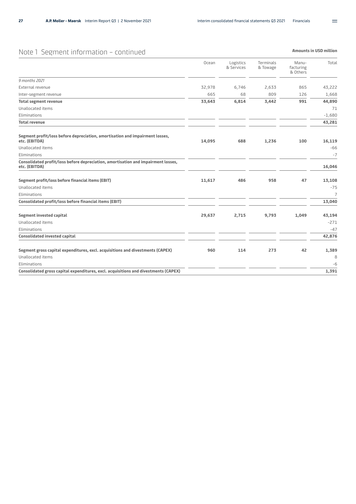## Note 1 Segment information – continued

|                                                                                                    | Ocean  | Logistics<br>& Services | Terminals<br>& Towage | Manu-<br>facturing<br>& Others | Total    |
|----------------------------------------------------------------------------------------------------|--------|-------------------------|-----------------------|--------------------------------|----------|
| 9 months 2021                                                                                      |        |                         |                       |                                |          |
| External revenue                                                                                   | 32,978 | 6,746                   | 2,633                 | 865                            | 43,222   |
| Inter-segment revenue                                                                              | 665    | 68                      | 809                   | 126                            | 1,668    |
| <b>Total segment revenue</b>                                                                       | 33,643 | 6,814                   | 3,442                 | 991                            | 44,890   |
| Unallocated items                                                                                  |        |                         |                       |                                | 71       |
| Eliminations                                                                                       |        |                         |                       |                                | $-1,680$ |
| <b>Total revenue</b>                                                                               |        |                         |                       |                                | 43,281   |
| Segment profit/loss before depreciation, amortisation and impairment losses,<br>etc. (EBITDA)      | 14,095 | 688                     | 1,236                 | 100                            | 16,119   |
| Unallocated items                                                                                  |        |                         |                       |                                | $-66$    |
| Eliminations                                                                                       |        |                         |                       |                                | $-7$     |
| Consolidated profit/loss before depreciation, amortisation and impairment losses,<br>etc. (EBITDA) |        |                         |                       |                                | 16,046   |
| Segment profit/loss before financial items (EBIT)                                                  | 11,617 | 486                     | 958                   | 47                             | 13,108   |
| Unallocated items                                                                                  |        |                         |                       |                                | $-75$    |
| Eliminations                                                                                       |        |                         |                       |                                | 7        |
| Consolidated profit/loss before financial items (EBIT)                                             |        |                         |                       |                                | 13,040   |
| <b>Segment invested capital</b>                                                                    | 29,637 | 2,715                   | 9,793                 | 1,049                          | 43,194   |
| Unallocated items                                                                                  |        |                         |                       |                                | $-271$   |
| Eliminations                                                                                       |        |                         |                       |                                | $-47$    |
| <b>Consolidated invested capital</b>                                                               |        |                         |                       |                                | 42,876   |
| Segment gross capital expenditures, excl. acquisitions and divestments (CAPEX)                     | 960    | 114                     | 273                   | 42                             | 1,389    |
| Unallocated items                                                                                  |        |                         |                       |                                | 8        |
| Eliminations                                                                                       |        |                         |                       |                                | -6       |
| Consolidated gross capital expenditures, excl. acquisitions and divestments (CAPEX)                |        |                         |                       |                                | 1,391    |

**Amounts in USD million** 

 $\equiv$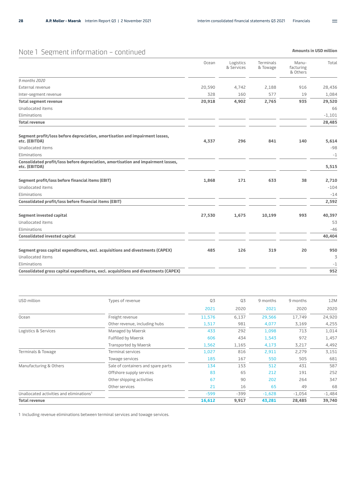## Note 1 Segment information – continued

|                                                                                                    | Ocean  | Logistics<br>& Services | Terminals<br>& Towage | Manu-<br>facturing<br>& Others | Total    |
|----------------------------------------------------------------------------------------------------|--------|-------------------------|-----------------------|--------------------------------|----------|
| 9 months 2020                                                                                      |        |                         |                       |                                |          |
| External revenue                                                                                   | 20,590 | 4,742                   | 2,188                 | 916                            | 28,436   |
| Inter-segment revenue                                                                              | 328    | 160                     | 577                   | 19                             | 1,084    |
| <b>Total segment revenue</b>                                                                       | 20,918 | 4,902                   | 2,765                 | 935                            | 29,520   |
| <b>Unallocated items</b>                                                                           |        |                         |                       |                                | 66       |
| Eliminations                                                                                       |        |                         |                       |                                | $-1,101$ |
| <b>Total revenue</b>                                                                               |        |                         |                       |                                | 28,485   |
| Segment profit/loss before depreciation, amortisation and impairment losses,<br>etc. (EBITDA)      | 4,337  | 296                     | 841                   | 140                            | 5,614    |
| <b>Unallocated items</b>                                                                           |        |                         |                       |                                | $-98$    |
| Eliminations                                                                                       |        |                         |                       |                                | $-1$     |
| Consolidated profit/loss before depreciation, amortisation and impairment losses,<br>etc. (EBITDA) |        |                         |                       |                                | 5,515    |
| Segment profit/loss before financial items (EBIT)                                                  | 1,868  | 171                     | 633                   | 38                             | 2,710    |
| <b>Unallocated items</b>                                                                           |        |                         |                       |                                | $-104$   |
| Eliminations                                                                                       |        |                         |                       |                                | $-14$    |
| Consolidated profit/loss before financial items (EBIT)                                             |        |                         |                       |                                | 2,592    |
| <b>Segment invested capital</b>                                                                    | 27,530 | 1,675                   | 10,199                | 993                            | 40,397   |
| Unallocated items                                                                                  |        |                         |                       |                                | 53       |
| Eliminations                                                                                       |        |                         |                       |                                | $-46$    |
| <b>Consolidated invested capital</b>                                                               |        |                         |                       |                                | 40,404   |
| Segment gross capital expenditures, excl. acquisitions and divestments (CAPEX)                     | 485    | 126                     | 319                   | 20                             | 950      |
| Unallocated items                                                                                  |        |                         |                       |                                | 3        |
| Eliminations                                                                                       |        |                         |                       |                                | $-1$     |
| Consolidated gross capital expenditures, excl. acquisitions and divestments (CAPEX)                |        |                         |                       |                                | 952      |

| USD million                                          | Types of revenue                   | Q3     | Q <sub>3</sub> | 9 months | 9 months | 12M      |
|------------------------------------------------------|------------------------------------|--------|----------------|----------|----------|----------|
|                                                      |                                    | 2021   | 2020           | 2021     | 2020     | 2020     |
| Ocean                                                | Freight revenue                    | 11,576 | 6,137          | 29,566   | 17,749   | 24,920   |
|                                                      | Other revenue, including hubs      | 1,517  | 981            | 4,077    | 3,169    | 4,255    |
| Logistics & Services                                 | Managed by Maersk                  | 433    | 292            | 1,098    | 713      | 1,014    |
|                                                      | Fulfilled by Maersk                | 606    | 434            | 1,543    | 972      | 1,457    |
|                                                      | Transported by Maersk              | 1,562  | 1,165          | 4,173    | 3,217    | 4,492    |
| Terminals & Towage                                   | <b>Terminal services</b>           | 1,027  | 816            | 2,911    | 2,279    | 3,151    |
|                                                      | Towage services                    | 185    | 167            | 550      | 505      | 681      |
| Manufacturing & Others                               | Sale of containers and spare parts | 134    | 153            | 512      | 431      | 587      |
|                                                      | Offshore supply services           | 83     | 65             | 212      | 191      | 252      |
|                                                      | Other shipping activities          | 67     | 90             | 202      | 264      | 347      |
|                                                      | Other services                     | 21     | 16             | 65       | 49       | 68       |
| Unallocated activities and eliminations <sup>1</sup> |                                    | $-599$ | $-399$         | $-1,628$ | $-1,054$ | $-1,484$ |
| <b>Total revenue</b>                                 |                                    | 16,612 | 9,917          | 43,281   | 28,485   | 39,740   |

1 Including revenue eliminations between terminal services and towage services.

 $\equiv$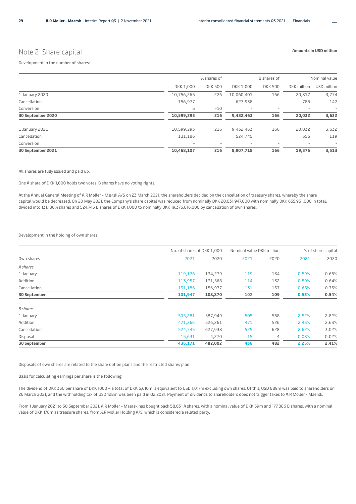### Note 2 Share capital

**Amounts in USD million** 

#### Development in the number of shares:

|                   | A shares of              |                          |            | B shares of    | Nominal value            |                          |
|-------------------|--------------------------|--------------------------|------------|----------------|--------------------------|--------------------------|
|                   | DKK 1,000                | <b>DKK 500</b>           | DKK 1,000  | <b>DKK 500</b> | DKK million              | USD million              |
| 1 January 2020    | 10,756,265               | 226                      | 10,060,401 | 166            | 20,817                   | 3,774                    |
| Cancellation      | 156,977                  | $\overline{\phantom{a}}$ | 627,938    | -              | 785                      | 142                      |
| Conversion        | 5                        | $-10$                    | -          |                |                          | $\qquad \qquad -$        |
| 30 September 2020 | 10,599,293               | 216                      | 9,432,463  | 166            | 20,032                   | 3,632                    |
| 1 January 2021    | 10,599,293               | 216                      | 9,432,463  | 166            | 20,032                   | 3,632                    |
| Cancellation      | 131,186                  |                          | 524,745    |                | 656                      | 119                      |
| Conversion        | $\overline{\phantom{a}}$ | $\overline{\phantom{a}}$ |            | -              | $\overline{\phantom{a}}$ | $\overline{\phantom{a}}$ |
| 30 September 2021 | 10,468,107               | 216                      | 8,907,718  | 166            | 19,376                   | 3,513                    |

All shares are fully issued and paid up.

One A share of DKK 1,000 holds two votes. B shares have no voting rights.

At the Annual General Meeting of A.P. Møller - Mærsk A/S on 23 March 2021, the shareholders decided on the cancellation of treasury shares, whereby the share capital would be decreased. On 20 May 2021, the Company's share capital was reduced from nominally DKK 20,031,947,000 with nominally DKK 655,931,000 in total, divided into 131,186 A shares and 524,745 B shares of DKK 1,000 to nominally DKK 19,376,016,000 by cancellation of own shares.

#### Development in the holding of own shares:

|         |         |                            |      | % of share capital        |       |
|---------|---------|----------------------------|------|---------------------------|-------|
|         |         |                            |      |                           |       |
| 2021    | 2020    | 2021                       | 2020 | 2021                      | 2020  |
|         |         |                            |      |                           |       |
| 119,176 | 134,279 | 119                        | 134  | 0.59%                     | 0.65% |
| 113,957 | 131,568 | 114                        | 132  | 0.59%                     | 0.64% |
| 131,186 | 156,977 | 131                        | 157  | 0.65%                     | 0.75% |
| 101,947 | 108,870 | 102                        | 109  | 0.53%                     | 0.54% |
|         |         |                            |      |                           |       |
| 505,281 | 587,949 | 505                        | 588  | 2.52%                     | 2.82% |
| 471,266 | 526,261 | 471                        | 526  | 2.43%                     | 2.63% |
| 524,745 | 627,938 | 525                        | 628  | 2.62%                     | 3.02% |
| 15,631  | 4,270   | 15                         | 4    | 0.08%                     | 0.02% |
| 436,171 | 482,002 | 436                        | 482  | 2.25%                     | 2.41% |
|         |         | No. of shares of DKK 1,000 |      | Nominal value DKK million |       |

Disposals of own shares are related to the share option plans and the restricted shares plan.

Basis for calculating earnings per share is the following:

The dividend of DKK 330 per share of DKK 1000 – a total of DKK 6,610m is equivalent to USD 1,017m excluding own shares. Of this, USD 889m was paid to shareholders on 26 March 2021, and the withholding tax of USD 128m was been paid in Q2 2021. Payment of dividends to shareholders does not trigger taxes to A.P. Moller - Maersk.

From 1 January 2021 to 30 September 2021, A.P. Moller - Maersk has bought back 58,631 A shares, with a nominal value of DKK 59m and 177,886 B shares, with a nominal value of DKK 178m as treasure shares, from A.P. Møller Holding A/S, which is considered a related party.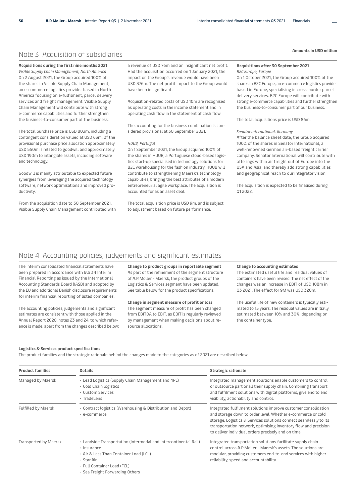### Note 3 Acquisition of subsidiaries

**Acquisitions during the first nine months 2021** *Visible Supply Chain Management, North America* On 2 August 2021, the Group acquired 100% of the shares in Visible Supply Chain Management, an e-commerce logistics provider based in North America focusing on e-fulfilment, parcel delivery services and freight management. Visible Supply Chain Management will contribute with strong e-commerce capabilities and further strengthen the business-to-consumer part of the business.

The total purchase price is USD 803m, including a contingent consideration valued at USD 63m. Of the provisional purchase price allocation approximately USD 550m is related to goodwill and approximately USD 190m to intangible assets, including software and technology.

Goodwill is mainly attributable to expected future synergies from leveraging the acquired technology software, network optimisations and improved productivity.

From the acquisition date to 30 September 2021, Visible Supply Chain Management contributed with

a revenue of USD 76m and an insignificant net profit. Had the acquisition occurred on 1 January 2021, the impact on the Group's revenue would have been USD 376m. The net profit impact to the Group would have been insignificant.

Acquisition-related costs of USD 10m are recognised as operating costs in the income statement and in operating cash flow in the statement of cash flow.

The accounting for the business combination is considered provisional at 30 September 2021.

#### *HUUB, Portugal*

On 1 September 2021, the Group acquired 100% of the shares in HUUB, a Portuguese cloud-based logistics start-up specialised in technology solutions for B2C warehousing for the fashion industry. HUUB will contribute to strengthening Maersk's technology capabilities, bringing the best attributes of a modern entrepreneurial agile workplace. The acquisition is accounted for as an asset deal.

The total acquisition price is USD 9m, and is subject to adjustment based on future performance.

### **Acquisitions after 30 September 2021**

*B2C Europe, Europe*

On 1 October 2021, the Group acquired 100% of the shares in B2C Europe, an e-commerce logistics provider based in Europe, specialising in cross-border parcel delivery services. B2C Europe will contribute with strong e-commerce capabilities and further strengthen the business-to-consumer part of our business.

The total acquisitions price is USD 86m.

#### *Senator International, Germany*

After the balance sheet date, the Group acquired 100% of the shares in Senator International, a well-renowned German air-based freight carrier company. Senator International will contribute with offerings within air freight out of Europe into the USA and Asia, and thereby add strong capabilities and geographical reach to our integrator vision.

The acquisition is expected to be finalised during Q1 2022.

### Note 4 Accounting policies, judgements and significant estimates

The interim consolidated financial statements have been prepared in accordance with IAS 34 Interim Financial Reporting as issued by the International Accounting Standards Board (IASB) and adopted by the EU and additional Danish disclosure requirements for interim financial reporting of listed companies.

The accounting policies, judgements and significant estimates are consistent with those applied in the Annual Report 2020, notes 23 and 24, to which reference is made, apart from the changes described below:

**Change to product groups in reportable segment** As part of the refinement of the segment structure of A.P. Moller - Maersk, the product groups of the Logistics & Services segment have been updated. See table below for the product specifications.

#### **Change in segment measure of profit or loss**

The segment measure of profit has been changed from EBITDA to EBIT, as EBIT is regularly reviewed by management when making decisions about resource allocations.

#### **Change to accounting estimates**

The estimated useful life and residual values of containers have been revised. The net effect of the changes was an increase in EBIT of USD 108m in Q3 2021. The effect for 9M was USD 320m.

The useful life of new containers is typically estimated to 15 years. The residual values are initially estimated between 10% and 30%, depending on the container type.

#### **Logistics & Services product specifications**

The product families and the strategic rationale behind the changes made to the categories as of 2021 are described below.

| <b>Product families</b>    | <b>Details</b>                                                                                                                                                                                            | <b>Strategic rationale</b><br>Integrated management solutions enable customers to control<br>or outsource part or all their supply chain. Combining transport<br>and fulfilment solutions with digital platforms, give end to end<br>visibility, actionability and control.                                                  |  |  |  |  |
|----------------------------|-----------------------------------------------------------------------------------------------------------------------------------------------------------------------------------------------------------|------------------------------------------------------------------------------------------------------------------------------------------------------------------------------------------------------------------------------------------------------------------------------------------------------------------------------|--|--|--|--|
| Managed by Maersk          | • Lead Logistics (Supply Chain Management and 4PL)<br>• Cold Chain logistics<br>• Custom Services<br>· TradeLens                                                                                          |                                                                                                                                                                                                                                                                                                                              |  |  |  |  |
| <b>Fulfilled by Maersk</b> | • Contract logistics (Warehousing & Distribution and Depot)<br>• e-commerce                                                                                                                               | Integrated fulfilment solutions improve customer consolidation<br>and storage down to order level. Whether e-commerce or cold<br>storage, Logistics & Services solutions connect seamlessly to its<br>transportation network, optimising inventory flow and precision<br>to deliver individual orders precisely and on time. |  |  |  |  |
| Transported by Maersk      | • Landside Transportation (Intermodal and Intercontinental Rail)<br>· Insurance<br>• Air & Less Than Container Load (LCL)<br>• Star Air<br>• Full Container Load (FCL)<br>• Sea Freight Forwarding Others | Integrated transportation solutions facilitate supply chain<br>control across A.P. Moller - Maersk's assets. The solutions are<br>modular, providing customers end-to-end services with higher<br>reliability, speed and accountability.                                                                                     |  |  |  |  |

 $=$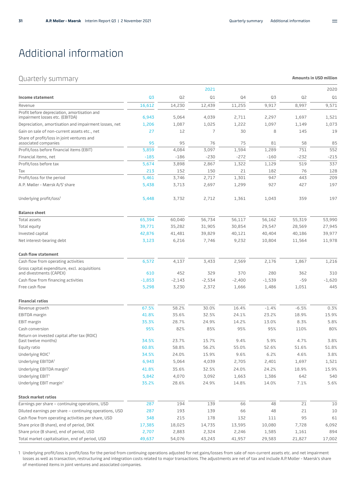$\equiv$ 

**Amounts in USD million** 

# <span id="page-30-0"></span>Additional information

### Quarterly summary

|                                                                                 |          |          | 2021     |          |          |         | 2020     |
|---------------------------------------------------------------------------------|----------|----------|----------|----------|----------|---------|----------|
| Income statement                                                                | Q3       | Q2       | Q1       | Q4       | Q3       | Q2      | Q1       |
| Revenue                                                                         | 16,612   | 14,230   | 12,439   | 11,255   | 9,917    | 8,997   | 9,571    |
| Profit before depreciation, amortisation and<br>impairment losses etc. (EBITDA) | 6,943    | 5,064    | 4,039    | 2,711    | 2,297    | 1,697   | 1,521    |
| Depreciation, amortisation and impairment losses, net                           | 1,206    | 1,087    | 1,025    | 1,222    | 1,097    | 1,149   | 1,073    |
| Gain on sale of non-current assets etc., net                                    | 27       | 12       | 7        | 30       | 8        | 145     | 19       |
| Share of profit/loss in joint ventures and                                      |          |          |          |          |          |         |          |
| associated companies                                                            | 95       | 95       | 76       | 75       | 81       | 58      | 85       |
| Profit/loss before financial items (EBIT)                                       | 5,859    | 4,084    | 3,097    | 1,594    | 1,289    | 751     | 552      |
| Financial items, net                                                            | $-185$   | $-186$   | $-230$   | $-272$   | $-160$   | $-232$  | $-215$   |
| Profit/loss before tax                                                          | 5,674    | 3,898    | 2,867    | 1,322    | 1,129    | 519     | 337      |
| Tax                                                                             | 213      | 152      | 150      | 21       | 182      | 76      | 128      |
| Profit/loss for the period                                                      | 5,461    | 3,746    | 2,717    | 1,301    | 947      | 443     | 209      |
| A.P. Møller - Mærsk A/S' share                                                  | 5,438    | 3,713    | 2,697    | 1,299    | 927      | 427     | 197      |
| Underlying profit/loss <sup>1</sup>                                             | 5,448    | 3,732    | 2,712    | 1,361    | 1,043    | 359     | 197      |
| <b>Balance sheet</b>                                                            |          |          |          |          |          |         |          |
| Total assets                                                                    | 65,394   | 60,040   | 56,734   | 56,117   | 56,162   | 55,319  | 53,990   |
| Total equity                                                                    | 39,771   | 35,282   | 31,905   | 30,854   | 29,547   | 28,569  | 27,945   |
| Invested capital                                                                | 42,876   | 41,481   | 39,829   | 40,121   | 40,404   | 40,186  | 39,977   |
| Net interest-bearing debt                                                       | 3,123    | 6,216    | 7,746    | 9,232    | 10,804   | 11,564  | 11,978   |
| <b>Cash flow statement</b>                                                      |          |          |          |          |          |         |          |
| Cash flow from operating activities                                             | 6,572    | 4,137    | 3,433    | 2,569    | 2,176    | 1,867   | 1,216    |
| Gross capital expenditure, excl. acquisitions<br>and divestments (CAPEX)        | 610      | 452      | 329      | 370      | 280      | 362     | 310      |
| Cash flow from financing activities                                             | $-1,853$ | $-2,143$ | $-2,534$ | $-2,400$ | $-1,539$ | $-59$   | $-1,620$ |
| Free cash flow                                                                  | 5,298    | 3,230    | 2,372    | 1,666    | 1,486    | 1,051   | 445      |
| <b>Financial ratios</b>                                                         |          |          |          |          |          |         |          |
| Revenue growth                                                                  | 67.5%    | 58.2%    | 30.0%    | 16.4%    | $-1.4%$  | $-6.5%$ | 0.3%     |
| EBITDA margin                                                                   | 41.8%    | 35.6%    | 32.5%    | 24.1%    | 23.2%    | 18.9%   | 15.9%    |
| <b>EBIT</b> margin                                                              | 35.3%    | 28.7%    | 24.9%    | 14.2%    | 13.0%    | 8.3%    | 5.8%     |
| Cash conversion                                                                 | 95%      | 82%      | 85%      | 95%      | 95%      | 110%    | 80%      |
| Return on invested capital after tax (ROIC)<br>(last twelve months)             | 34.5%    | 23.7%    | 15.7%    | 9.4%     | 5.9%     | 4.7%    | 3.8%     |
| Equity ratio                                                                    | 60.8%    | 58.8%    | 56.2%    | 55.0%    | 52.6%    | 51.6%   | 51.8%    |
| Underlying ROIC1                                                                | 34.5%    | 24.0%    | 15.9%    | 9.6%     | 6.2%     | 4.6%    | 3.8%     |
| Underlying EBITDA <sup>1</sup>                                                  | 6,943    | 5,064    | 4,039    | 2,705    | 2,401    | 1,697   | 1,521    |
| Underlying EBITDA margin <sup>1</sup>                                           | 41.8%    | 35.6%    | 32.5%    | 24.0%    | 24.2%    | 18.9%   | 15.9%    |
| Underlying EBIT <sup>1</sup>                                                    | 5,842    | 4,070    | 3,092    | 1,663    | 1,386    | 642     | 540      |
| Underlying EBIT margin <sup>1</sup>                                             | 35.2%    | 28.6%    | 24.9%    | 14.8%    | 14.0%    | 7.1%    | 5.6%     |
| <b>Stock market ratios</b>                                                      |          |          |          |          |          |         |          |
| Earnings per share - continuing operations, USD                                 | 287      | 194      | 139      | 66       | 48       | 21      | 10       |
| Diluted earnings per share - continuing operations, USD                         | 287      | 193      | 139      | 66       | 48       | 21      | 10       |
| Cash flow from operating activities per share, USD                              | 348      | 215      | 178      | 132      | 111      | 95      | 61       |
| Share price (B share), end of period, DKK                                       | 17,385   | 18,025   | 14,735   | 13,595   | 10,080   | 7,728   | 6,092    |
| Share price (B share), end of period, USD                                       | 2,707    | 2,883    | 2,324    | 2,246    | 1,585    | 1,161   | 894      |
| Total market capitalisation, end of period, USD                                 | 49,637   | 54,076   | 43,243   | 41,957   | 29,583   | 21,827  | 17,002   |

1 Underlying profit/loss is profit/loss for the period from continuing operations adjusted for net gains/losses from sale of non-current assets etc. and net impairment losses as well as transaction, restructuring and integration costs related to major transactions. The adjustments are net of tax and include A.P. Moller - Maersk's share of mentioned items in joint ventures and associated companies.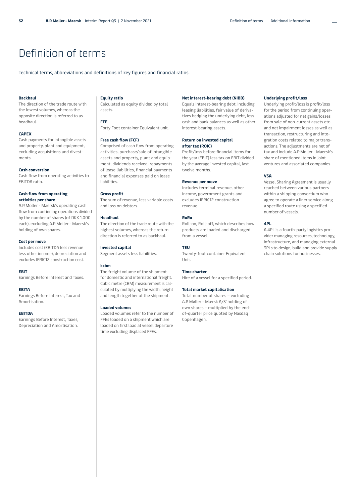# <span id="page-31-0"></span>Definition of terms

Technical terms, abbreviations and definitions of key figures and financial ratios.

#### **Backhaul**

The direction of the trade route with the lowest volumes, whereas the opposite direction is referred to as headhaul.

#### **CAPEX**

Cash payments for intangible assets and property, plant and equipment, excluding acquisitions and divestments.

#### **Cash conversion**

Cash flow from operating activities to EBITDA ratio.

#### **Cash flow from operating activities per share**

A.P. Moller - Maersk's operating cash flow from continuing operations divided by the number of shares (of DKK 1,000 each), excluding A.P. Moller - Maersk's holding of own shares.

#### **Cost per move**

Includes cost (EBITDA less revenue less other income), depreciation and excludes IFRIC12 construction cost.

#### **EBIT**

Earnings Before Interest and Taxes.

#### **EBITA**

Earnings Before Interest, Tax and Amortisation.

#### **EBITDA**

Earnings Before Interest, Taxes, Depreciation and Amortisation.

#### **Equity ratio**

Calculated as equity divided by total assets.

#### **FFE**

Forty Foot container Equivalent unit.

#### **Free cash flow (FCF)**

Comprised of cash flow from operating activities, purchase/sale of intangible assets and property, plant and equipment, dividends received, repayments of lease liabilities, financial payments and financial expenses paid on lease liabilities.

#### **Gross profit**

The sum of revenue, less variable costs and loss on debtors.

#### **Headhaul**

The direction of the trade route with the highest volumes, whereas the return direction is referred to as backhaul.

#### **Invested capital**

Segment assets less liabilities.

#### **kcbm**

The freight volume of the shipment for domestic and international freight. Cubic metre (CBM) measurement is calculated by multiplying the width, height and length together of the shipment.

#### **Loaded volumes**

Loaded volumes refer to the number of FFEs loaded on a shipment which are loaded on first load at vessel departure time excluding displaced FFEs.

#### **Net interest-bearing debt (NIBD)**

Equals interest-bearing debt, including leasing liabilities, fair value of derivatives hedging the underlying debt, less cash and bank balances as well as other interest-bearing assets.

#### **Return on invested capital after tax (ROIC)**

Profit/loss before financial items for the year (EBIT) less tax on EBIT divided by the average invested capital, last twelve months.

#### **Revenue per move**

Includes terminal revenue, other income, government grants and excludes IFRIC12 construction revenue.

#### **RoRo**

Roll-on, Roll-off, which describes how products are loaded and discharged from a vessel.

#### **TEU**

Twenty-foot container Equivalent Unit.

#### **Time charter**

Hire of a vessel for a specified period.

#### **Total market capitalisation**

Total number of shares – excluding A.P. Møller - Mærsk A/S' holding of own shares – multiplied by the endof-quarter price quoted by Nasdaq Copenhagen.

#### **Underlying profit/loss**

Underlying profit/loss is profit/loss for the period from continuing operations adjusted for net gains/losses from sale of non-current assets etc. and net impairment losses as well as transaction, restructuring and integration costs related to major transactions. The adjustments are net of tax and include A.P. Moller - Maersk's share of mentioned items in joint ventures and associated companies.

 $=$ 

#### **VSA**

Vessel Sharing Agreement is usually reached between various partners within a shipping consortium who agree to operate a liner service along a specified route using a specified number of vessels.

#### **4PL**

A 4PL is a fourth-party logistics provider managing resources, technology, infrastructure, and managing external 3PLs to design, build and provide supply chain solutions for businesses.